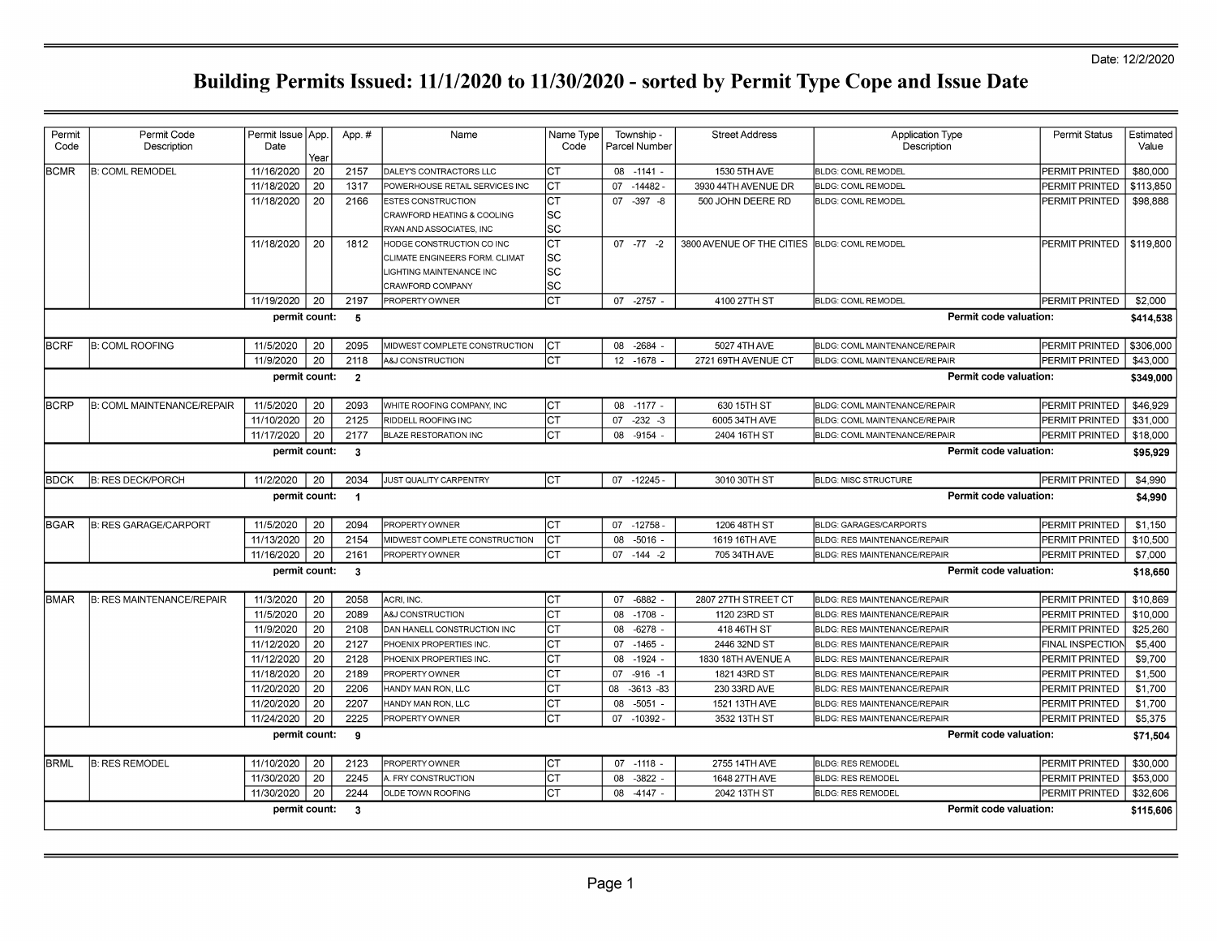| Permit                                                    | Permit Code                       | Permit Issue   App. |      | App.#                   | Name                           | Name Type | Township -         | <b>Street Address</b>     | <b>Application Type</b>                            | Permit Status         | Estimated |
|-----------------------------------------------------------|-----------------------------------|---------------------|------|-------------------------|--------------------------------|-----------|--------------------|---------------------------|----------------------------------------------------|-----------------------|-----------|
| Code                                                      | Description                       | Date                | Year |                         |                                | Code      | Parcel Number      |                           | Description                                        |                       | Value     |
| <b>BCMR</b>                                               | <b>B: COML REMODEL</b>            | 11/16/2020          | 20   | 2157                    | DALEY'S CONTRACTORS LLC        | Іст       | 08 -1141 -         | 1530 5TH AVE              | BLDG: COML REMODEL                                 | PERMIT PRINTED        | \$80,000  |
|                                                           |                                   | 11/18/2020          | 20   | 1317                    | POWERHOUSE RETAIL SERVICES INC | Іст       | 07 - 14482         | 3930 44TH AVENUE DR       | <b>BLDG: COML REMODEL</b>                          | PERMIT PRINTED        | \$113,850 |
|                                                           |                                   | 11/18/2020          | 20   | 2166                    | <b>ESTES CONSTRUCTION</b>      | Iст       | $07 - 397 - 8$     | 500 JOHN DEERE RD         | <b>BLDG: COML REMODEL</b>                          | PERMIT PRINTED        | \$98,888  |
|                                                           |                                   |                     |      |                         | CRAWFORD HEATING & COOLING     | SC        |                    |                           |                                                    |                       |           |
|                                                           |                                   |                     |      |                         | RYAN AND ASSOCIATES, INC       | lsc       |                    |                           |                                                    |                       |           |
|                                                           |                                   | 11/18/2020          | 20   | 1812                    | HODGE CONSTRUCTION CO INC      | lст       | $07 - 77 - 2$      | 3800 AVENUE OF THE CITIES | <b>BLDG: COML REMODEL</b>                          | PERMIT PRINTED        | \$119,800 |
|                                                           |                                   |                     |      |                         | CLIMATE ENGINEERS FORM, CLIMAT | SC        |                    |                           |                                                    |                       |           |
|                                                           |                                   |                     |      |                         | IGHTING MAINTENANCE INC        | sc        |                    |                           |                                                    |                       |           |
|                                                           |                                   |                     |      |                         | CRAWFORD COMPANY               | lsc       |                    |                           |                                                    |                       |           |
|                                                           |                                   | 11/19/2020          | 20   | 2197                    | PROPERTY OWNER                 | lст       | 07 -2757           | 4100 27TH ST              | <b>BLDG: COML REMODEL</b>                          | PERMIT PRINTED        | \$2,000   |
|                                                           |                                   | permit count:       |      | 5                       |                                |           |                    |                           | Permit code valuation:                             |                       | \$414,538 |
| <b>BCRF</b>                                               | <b>B: COML ROOFING</b>            | 11/5/2020           | 20   | 2095                    | MIDWEST COMPLETE CONSTRUCTION  | ICT       | 08 -2684           | 5027 4TH AVE              | BLDG: COML MAINTENANCE/REPAIR                      | PERMIT PRINTED        | \$306,000 |
|                                                           |                                   | 11/9/2020           | 20   | 2118                    | <b>A&amp;J CONSTRUCTION</b>    | Iст       | 12 - 1678          | 2721 69TH AVENUE CT       | BLDG: COML MAINTENANCE/REPAIR                      | PERMIT PRINTED        | \$43,000  |
|                                                           |                                   | permit count:       |      | $\overline{\mathbf{2}}$ |                                |           |                    |                           | Permit code valuation:                             |                       | \$349,000 |
| <b>BCRP</b>                                               | <b>B: COML MAINTENANCE/REPAIR</b> | 11/5/2020           | 20   | 2093                    | WHITE ROOFING COMPANY. INC     | Iст       | $08 - 1177 -$      | 630 15TH ST               | BLDG: COML MAINTENANCE/REPAIR                      | PERMIT PRINTED        | \$46.929  |
|                                                           |                                   | 11/10/2020          | 20   | 2125                    | RIDDELL ROOFING INC            | Іст       | $-232 - 3$<br>07   | 6005 34TH AVE             | BLDG: COML MAINTENANCE/REPAIR                      | PERMIT PRINTED        | \$31,000  |
|                                                           |                                   | 11/17/2020          | 20   | 2177                    | <b>BLAZE RESTORATION INC</b>   | Iст       | 08 -9154 -         | 2404 16TH ST              | <b>BLDG: COML MAINTENANCE/REPAIR</b>               | PERMIT PRINTED        | \$18,000  |
|                                                           |                                   | permit count:       |      | $\mathbf{3}$            |                                |           |                    |                           | Permit code valuation:                             |                       | \$95,929  |
|                                                           |                                   |                     |      |                         |                                |           |                    |                           |                                                    |                       |           |
| <b>BDCK</b>                                               | <b>B: RES DECK/PORCH</b>          | 11/2/2020           | 20   | 2034                    | JUST QUALITY CARPENTRY         | Iст       | $07 - 12245$       | 3010 30TH ST              | <b>BLDG: MISC STRUCTURE</b>                        | PERMIT PRINTED        | \$4,990   |
|                                                           |                                   | permit count:       |      | $\overline{\mathbf{1}}$ |                                |           |                    |                           | Permit code valuation:                             |                       | \$4,990   |
| BGAR                                                      | <b>B: RES GARAGE/CARPORT</b>      | 11/5/2020           | 20   | 2094                    | PROPERTY OWNER                 | lст       | 07 -12758          | 1206 48TH ST              | <b>BLDG: GARAGES/CARPORTS</b>                      | PERMIT PRINTED        | \$1,150   |
|                                                           |                                   | 11/13/2020          | 20   | 2154                    | MIDWEST COMPLETE CONSTRUCTION  | lст       | 08<br>-5016        | 1619 16TH AVE             | BLDG: RES MAINTENANCE/REPAIR                       | PERMIT PRINTED        | \$10,500  |
|                                                           |                                   | 11/16/2020          | 20   | 2161                    | PROPERTY OWNER                 | Iст       | $07 - 144 - 2$     | 705 34TH AVE              | BLDG: RES MAINTENANCE/REPAIR                       | PERMIT PRINTED        | \$7,000   |
|                                                           |                                   | permit count:       |      | $\mathbf{3}$            |                                |           |                    |                           | Permit code valuation:                             |                       | \$18,650  |
| <b>BMAR</b>                                               | <b>B: RES MAINTENANCE/REPAIR</b>  | 11/3/2020           | 20   | 2058                    | ACRI, INC.                     | Iст       | 07 -6882           | 2807 27TH STREET CT       | BLDG: RES MAINTENANCE/REPAIR                       | PERMIT PRINTED        | \$10,869  |
|                                                           |                                   | 11/5/2020           | 20   | 2089                    | A&J CONSTRUCTION               | Іст       | 08 -1708 -         | 1120 23RD ST              | BLDG: RES MAINTENANCE/REPAIR                       | PERMIT PRINTED        | \$10,000  |
|                                                           |                                   | 11/9/2020           | 20   | 2108                    | DAN HANELL CONSTRUCTION INC    | lст       | $-6278$<br>08      | 418 46TH ST               | BLDG: RES MAINTENANCE/REPAIR                       | PERMIT PRINTED        | \$25,260  |
|                                                           |                                   | 11/12/2020          | 20   | 2127                    | PHOENIX PROPERTIES INC         | Iст       | 07 -1465           | 2446 32ND ST              | <b>BLDG: RES MAINTENANCE/REPAIR</b>                | FINAL INSPECTION      | \$5,400   |
|                                                           |                                   | 11/12/2020          | 20   | 2128                    | PHOENIX PROPERTIES INC         | Iст       | $-1924$<br>08      | 1830 18TH AVENUE A        | BLDG: RES MAINTENANCE/REPAIR                       | PERMIT PRINTED        | \$9,700   |
|                                                           |                                   | 11/18/2020          | 20   | 2189                    | PROPERTY OWNER                 | Iст       | 07<br>$-916 - 1$   | 1821 43RD ST              | BLDG: RES MAINTENANCE/REPAIR                       | PERMIT PRINTED        | \$1,500   |
|                                                           |                                   | 11/20/2020          | 20   | 2206                    | HANDY MAN RON, LLC             | lст       | $-3613 - 83$<br>08 | 230 33RD AVE              | BLDG: RES MAINTENANCE/REPAIR                       | PERMIT PRINTED        | \$1,700   |
|                                                           |                                   | 11/20/2020          | 20   | 2207                    | HANDY MAN RON, LLC             | Iст       | $-5051$<br>80      | 1521 13TH AVE             | BLDG: RES MAINTENANCE/REPAIR                       | PERMIT PRINTED        | \$1,700   |
|                                                           |                                   | 11/24/2020          | 20   | 2225                    | PROPERTY OWNER                 | Iст       | $-10392 -$<br>07   | 3532 13TH ST              | BLDG: RES MAINTENANCE/REPAIR                       | PERMIT PRINTED        | \$5,375   |
| permit count:<br>Permit code valuation:<br>-9<br>\$71.504 |                                   |                     |      |                         |                                |           |                    |                           |                                                    |                       |           |
|                                                           |                                   |                     |      |                         |                                |           |                    |                           |                                                    |                       |           |
|                                                           |                                   |                     |      |                         |                                |           |                    |                           |                                                    |                       |           |
| <b>BRML</b>                                               | <b>B: RES REMODEL</b>             | 11/10/2020          | 20   | 2123                    | PROPERTY OWNER                 | Iст       | $07 - 1118 -$      | 2755 14TH AVE             | <b>BLDG: RES REMODEL</b>                           | <b>PERMIT PRINTED</b> | \$30,000  |
|                                                           |                                   | 11/30/2020          | 20   | 2245                    | A. FRY CONSTRUCTION            | lст       | $-3822$<br>08      | 1648 27TH AVE             | <b>BLDG: RES REMODEL</b>                           | PERMIT PRINTED        | \$53,000  |
|                                                           |                                   | 11/30/2020          | 20   | 2244                    | OLDE TOWN ROOFING              | <b>CT</b> | $-4147 -$<br>80    | 2042 13TH ST              | <b>BLDG: RES REMODEL</b><br>Permit code valuation: | PERMIT PRINTED        | \$32,606  |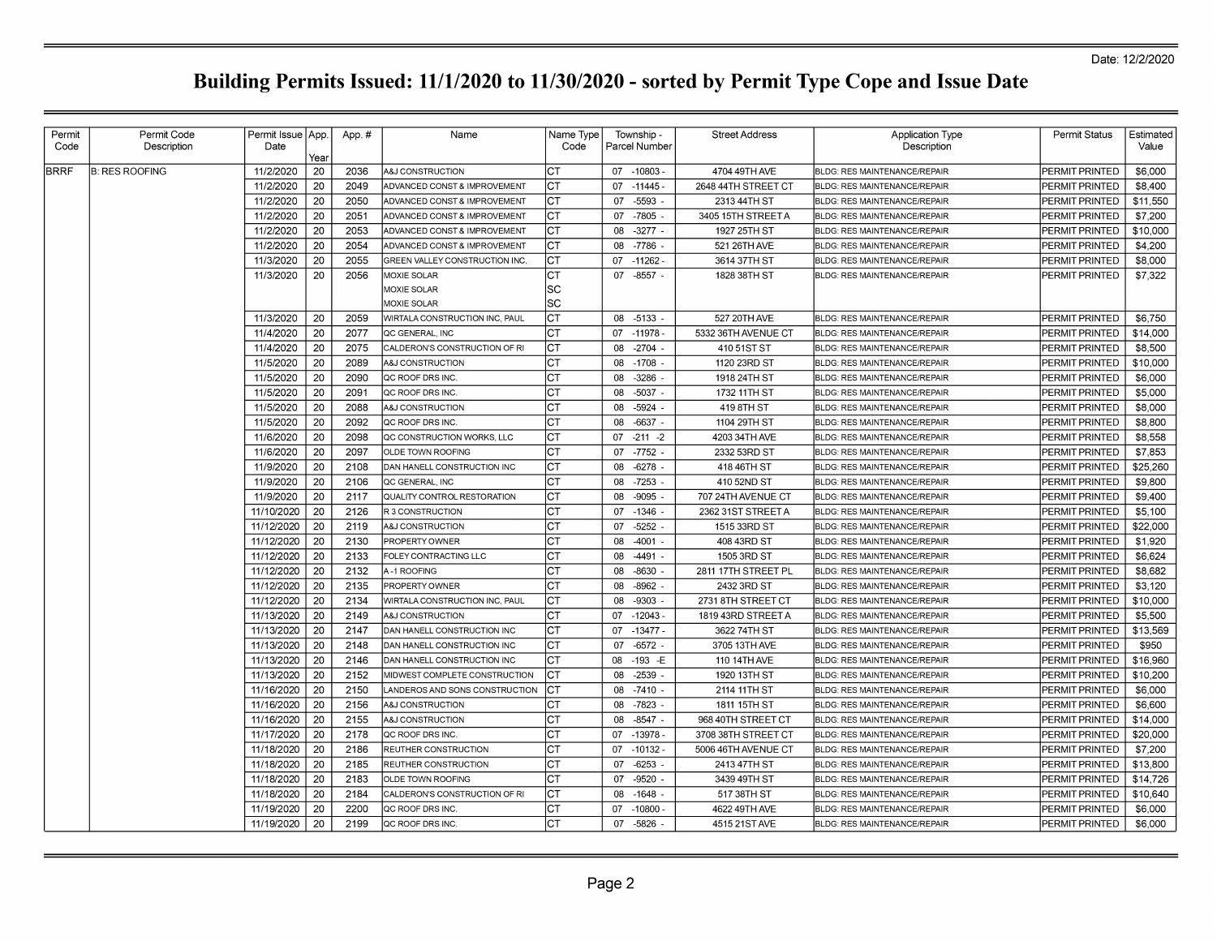|             | Description           | Date       | Permit Issue   App. | App.# | Name                                    | Name Type<br>Code | Township -<br>Parcel Number | <b>Street Address</b> | <b>Application Type</b><br>Description | <b>Permit Status</b>  | Estimated<br>Value |
|-------------|-----------------------|------------|---------------------|-------|-----------------------------------------|-------------------|-----------------------------|-----------------------|----------------------------------------|-----------------------|--------------------|
| <b>BRRF</b> | <b>B: RES ROOFING</b> | 11/2/2020  | Year<br>20          | 2036  | A&J CONSTRUCTION                        | IСТ               | 07 -10803 -                 | 4704 49TH AVE         | BLDG: RES MAINTENANCE/REPAIR           | <b>PERMIT PRINTED</b> | \$6,000            |
|             |                       | 11/2/2020  | 20                  | 2049  | <b>ADVANCED CONST &amp; IMPROVEMENT</b> | IСТ               | 07<br>$-11445-$             | 2648 44TH STREET CT   | <b>BLDG: RES MAINTENANCE/REPAIR</b>    | PERMIT PRINTED        | \$8,400            |
|             |                       | 11/2/2020  | 20                  | 2050  | ADVANCED CONST & IMPROVEMENT            | CТ                | $-5593$<br>07               | 2313 44TH ST          | <b>BLDG: RES MAINTENANCE/REPAIR</b>    | PERMIT PRINTED        | \$11,550           |
|             |                       | 11/2/2020  | 20                  | 2051  | ADVANCED CONST & IMPROVEMENT            | IСТ               | $-7805$<br>07               | 3405 15TH STREET A    | <b>BLDG: RES MAINTENANCE/REPAIR</b>    | PERMIT PRINTED        | \$7,200            |
|             |                       | 11/2/2020  | 20                  | 2053  | ADVANCED CONST & IMPROVEMENT            | Iст               | 80<br>$-3277 -$             | 1927 25TH ST          | <b>BLDG: RES MAINTENANCE/REPAIR</b>    | PERMIT PRINTED        | \$10,000           |
|             |                       | 11/2/2020  | 20                  | 2054  | ADVANCED CONST & IMPROVEMENT            | IСТ               | -7786<br>08                 | 521 26TH AVE          | BLDG: RES MAINTENANCE/REPAIR           | PERMIT PRINTED        | \$4,200            |
|             |                       | 11/3/2020  | 20                  | 2055  | GREEN VALLEY CONSTRUCTION INC.          | СT                | 07<br>$-11262$              | 3614 37TH ST          | BLDG: RES MAINTENANCE/REPAIR           | PERMIT PRINTED        | \$8,000            |
|             |                       | 11/3/2020  | 20                  | 2056  | MOXIE SOLAR                             | lст               | 07<br>$-8557$               | 1828 38TH ST          | <b>BLDG: RES MAINTENANCE/REPAIR</b>    | PERMIT PRINTED        | \$7,322            |
|             |                       |            |                     |       | MOXIE SOLAR                             | lsc               |                             |                       |                                        |                       |                    |
|             |                       |            |                     |       | <b>MOXIE SOLAR</b>                      | lsc               |                             |                       |                                        |                       |                    |
|             |                       | 11/3/2020  | 20                  | 2059  | WIRTALA CONSTRUCTION INC, PAUL          | Iст               | $-5133$<br>08               | 527 20TH AVE          | <b>BLDG: RES MAINTENANCE/REPAIR</b>    | PERMIT PRINTED        | \$6,750            |
|             |                       | 11/4/2020  | 20                  | 2077  | QC GENERAL. INC                         | СT                | 07 -11978                   | 5332 36TH AVENUE CT   | <b>BLDG: RES MAINTENANCE/REPAIR</b>    | PERMIT PRINTED        | \$14.000           |
|             |                       | 11/4/2020  | 20                  | 2075  | CALDERON'S CONSTRUCTION OF RI           | СT                | $-2704$ .<br>08             | 410 51ST ST           | <b>BLDG: RES MAINTENANCE/REPAIR</b>    | PERMIT PRINTED        | \$8,500            |
|             |                       | 11/5/2020  | 20                  | 2089  | A&J CONSTRUCTION                        | СT                | 80<br>$-1708$               | 1120 23RD ST          | <b>BLDG: RES MAINTENANCE/REPAIR</b>    | PERMIT PRINTED        | \$10,000           |
|             |                       | 11/5/2020  | 20                  | 2090  | QC ROOF DRS INC.                        | IСТ               | -3286<br>08                 | 1918 24TH ST          | BLDG: RES MAINTENANCE/REPAIR           | PERMIT PRINTED        | \$6,000            |
|             |                       | 11/5/2020  | 20                  | 2091  | <b>QC ROOF DRS INC.</b>                 | Iст               | $-5037 -$<br>80             | 1732 11TH ST          | <b>BLDG: RES MAINTENANCE/REPAIR</b>    | PERMIT PRINTED        | \$5,000            |
|             |                       | 11/5/2020  | 20                  | 2088  | A&J CONSTRUCTION                        | Iст               | $-5924$ -<br>08             | 419 8TH ST            | <b>BLDG: RES MAINTENANCE/REPAIR</b>    | PERMIT PRINTED        | \$8,000            |
|             |                       | 11/5/2020  | 20                  | 2092  | QC ROOF DRS INC                         | CТ                | $-6637 -$<br>80             | 1104 29TH ST          | BLDG: RES MAINTENANCE/REPAIR           | PERMIT PRINTED        | \$8,800            |
|             |                       | 11/6/2020  | 20                  | 2098  | QC CONSTRUCTION WORKS, LLC              | Iст               | 07<br>$-211 - 2$            | 4203 34TH AVE         | <b>BLDG: RES MAINTENANCE/REPAIR</b>    | PERMIT PRINTED        | \$8,558            |
|             |                       | 11/6/2020  | 20                  | 2097  | OLDE TOWN ROOFING                       | СT                | 07<br>-7752                 | 2332 53RD ST          | BLDG: RES MAINTENANCE/REPAIR           | PERMIT PRINTED        | \$7,853            |
|             |                       | 11/9/2020  | 20                  | 2108  | DAN HANELL CONSTRUCTION INC             | Iст               | $-6278$<br>80               | 418 46TH ST           | BLDG: RES MAINTENANCE/REPAIR           | PERMIT PRINTED        | \$25,260           |
|             |                       | 11/9/2020  | 20                  | 2106  | QC GENERAL, INC                         | СT                | $-7253$<br>08               | 410 52ND ST           | <b>BLDG: RES MAINTENANCE/REPAIR</b>    | PERMIT PRINTED        | \$9,800            |
|             |                       | 11/9/2020  | 20                  | 2117  | QUALITY CONTROL RESTORATION             | Iст               | $-9095$<br>08               | 707 24TH AVENUE CT    | <b>BLDG: RES MAINTENANCE/REPAIR</b>    | PERMIT PRINTED        | \$9,400            |
|             |                       | 11/10/2020 | 20                  | 2126  | R 3 CONSTRUCTION                        | Iст               | 07<br>$-1346$               | 2362 31ST STREET A    | BLDG: RES MAINTENANCE/REPAIR           | PERMIT PRINTED        | \$5,100            |
|             |                       | 11/12/2020 | 20                  | 2119  | A&J CONSTRUCTION                        | Iст               | $-5252$<br>07               | 1515 33RD ST          | BLDG: RES MAINTENANCE/REPAIR           | PERMIT PRINTED        | \$22,000           |
|             |                       | 11/12/2020 | 20                  | 2130  | <b>PROPERTY OWNER</b>                   | Iст               | $-4001 -$<br>80             | 408 43RD ST           | BLDG: RES MAINTENANCE/REPAIR           | PERMIT PRINTED        | \$1,920            |
|             |                       | 11/12/2020 | 20                  | 2133  | FOLEY CONTRACTING LLC                   | СT                | -4491<br>08                 | 1505 3RD ST           | BLDG: RES MAINTENANCE/REPAIR           | PERMIT PRINTED        | \$6,624            |
|             |                       | 11/12/2020 | 20                  | 2132  | A-1 ROOFING                             | IСТ               | -8630<br>08                 | 2811 17TH STREET PL   | <b>BLDG: RES MAINTENANCE/REPAIR</b>    | PERMIT PRINTED        | \$8,682            |
|             |                       | 11/12/2020 | 20                  | 2135  | PROPERTY OWNER                          | СT                | 80<br>-8962                 | 2432 3RD ST           | BLDG: RES MAINTENANCE/REPAIR           | PERMIT PRINTED        | \$3,120            |
|             |                       | 11/12/2020 | 20                  | 2134  | WIRTALA CONSTRUCTION INC, PAUL          | Iст               | 08<br>$-9303$               | 2731 8TH STREET CT    | BLDG: RES MAINTENANCE/REPAIR           | PERMIT PRINTED        | \$10,000           |
|             |                       | 11/13/2020 | 20                  | 2149  | A&J CONSTRUCTION                        | СT                | 07<br>$-12043$              | 1819 43RD STREET A    | BLDG: RES MAINTENANCE/REPAIR           | PERMIT PRINTED        | \$5,500            |
|             |                       | 11/13/2020 | 20                  | 2147  | DAN HANELL CONSTRUCTION INC             | СT                | 07<br>$-13477$              | 3622 74TH ST          | BLDG: RES MAINTENANCE/REPAIR           | PERMIT PRINTED        | \$13,569           |
|             |                       | 11/13/2020 | 20                  | 2148  | DAN HANELL CONSTRUCTION INC             | СT                | $-6572$<br>07               | 3705 13TH AVE         | <b>BLDG: RES MAINTENANCE/REPAIR</b>    | PERMIT PRINTED        | \$950              |
|             |                       | 11/13/2020 | 20                  | 2146  | DAN HANELL CONSTRUCTION INC             | lст               | 08<br>$-193$ -E             | 110 14TH AVE          | <b>BLDG: RES MAINTENANCE/REPAIR</b>    | PERMIT PRINTED        | \$16,960           |
|             |                       | 11/13/2020 | 20                  | 2152  | MIDWEST COMPLETE CONSTRUCTION           | Iст               | $-2539$<br>08               | 1920 13TH ST          | BLDG: RES MAINTENANCE/REPAIR           | PERMIT PRINTED        | \$10,200           |
|             |                       | 11/16/2020 | 20                  | 2150  | LANDEROS AND SONS CONSTRUCTION          | Iст               | $-7410 -$<br>08             | 2114 11TH ST          | BLDG: RES MAINTENANCE/REPAIR           | PERMIT PRINTED        | \$6,000            |
|             |                       | 11/16/2020 | 20                  | 2156  | A&J CONSTRUCTION                        | Iст               | $-7823$<br>08               | 1811 15TH ST          | BLDG: RES MAINTENANCE/REPAIR           | PERMIT PRINTED        | \$6,600            |
|             |                       | 11/16/2020 | 20                  | 2155  | A&J CONSTRUCTION                        | CТ                | $-8547 -$<br>08             | 968 40TH STREET CT    | BLDG: RES MAINTENANCE/REPAIR           | PERMIT PRINTED        | \$14,000           |
|             |                       | 11/17/2020 | 20                  | 2178  | QC ROOF DRS INC                         | Iст               | 07 - 13978                  | 3708 38TH STREET CT   | <b>BLDG: RES MAINTENANCE/REPAIR</b>    | PERMIT PRINTED        | \$20,000           |
|             |                       | 11/18/2020 | 20                  | 2186  | REUTHER CONSTRUCTION                    | СT                | 07<br>$-10132$              | 5006 46TH AVENUE CT   | <b>BLDG: RES MAINTENANCE/REPAIR</b>    | PERMIT PRINTED        | \$7,200            |
|             |                       | 11/18/2020 | 20                  | 2185  | REUTHER CONSTRUCTION                    | Iст               | 07<br>$-6253$               | 2413 47TH ST          | BLDG: RES MAINTENANCE/REPAIR           | PERMIT PRINTED        | \$13,800           |
|             |                       | 11/18/2020 | 20                  | 2183  | OLDE TOWN ROOFING                       | CТ                | $-9520$<br>07               | 3439 49TH ST          | BLDG: RES MAINTENANCE/REPAIR           | PERMIT PRINTED        | \$14,726           |
|             |                       | 11/18/2020 | 20                  | 2184  | CALDERON'S CONSTRUCTION OF RI           | СT                | 80<br>$-1648$               | 517 38TH ST           | <b>BLDG: RES MAINTENANCE/REPAIR</b>    | PERMIT PRINTED        | \$10,640           |
|             |                       | 11/19/2020 | 20                  | 2200  | QC ROOF DRS INC                         | Iст               | $-10800$<br>07              | 4622 49TH AVE         | <b>BLDG: RES MAINTENANCE/REPAIR</b>    | PERMIT PRINTED        | \$6,000            |
|             |                       | 11/19/2020 | 20                  | 2199  | QC ROOF DRS INC                         | lст               | 07 -5826                    | 4515 21ST AVE         | <b>BLDG: RES MAINTENANCE/REPAIR</b>    | PERMIT PRINTED        | \$6,000            |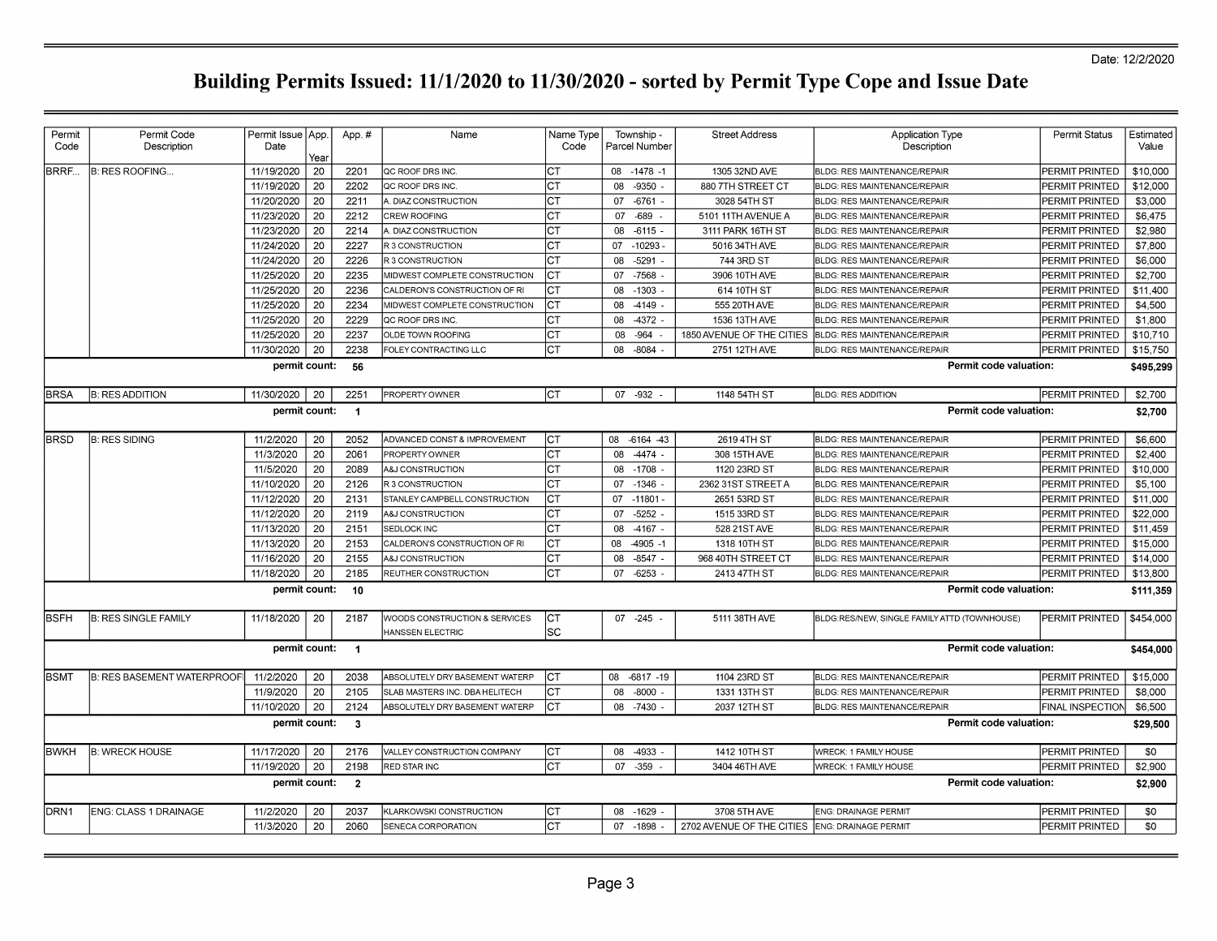| Permit           | Permit Code                       | Permit Issue   App. |      | App.#                   | Name                           | Name Type | Township -         | <b>Street Address</b>                          | <b>Application Type</b>                      | <b>Permit Status</b>    | Estimated |
|------------------|-----------------------------------|---------------------|------|-------------------------|--------------------------------|-----------|--------------------|------------------------------------------------|----------------------------------------------|-------------------------|-----------|
| Code             | Description                       | Date                |      |                         |                                | Code      | Parcel Number      |                                                | Description                                  |                         | Value     |
|                  |                                   |                     | Year |                         |                                |           |                    |                                                |                                              |                         |           |
| BRRF             | <b>B: RES ROOFING</b>             | 11/19/2020          | 20   | 2201                    | QC ROOF DRS INC.               | CT        | 08 -1478 -1        | 1305 32ND AVE                                  | BLDG: RES MAINTENANCE/REPAIR                 | PERMIT PRINTED          | \$10,000  |
|                  |                                   | 11/19/2020          | 20   | 2202                    | QC ROOF DRS INC.               | СT        | 08<br>$-9350$ .    | 880 7TH STREET CT                              | <b>BLDG: RES MAINTENANCE/REPAIR</b>          | <b>PERMIT PRINTED</b>   | \$12,000  |
|                  |                                   | 11/20/2020          | 20   | 2211                    | A. DIAZ CONSTRUCTION           | СT        | $-6761$<br>07      | 3028 54TH ST                                   | <b>BLDG: RES MAINTENANCE/REPAIR</b>          | <b>PERMIT PRINTED</b>   | \$3,000   |
|                  |                                   | 11/23/2020          | 20   | 2212                    | CREW ROOFING                   | CT        | $-689 -$<br>07     | 5101 11TH AVENUE A                             | BLDG: RES MAINTENANCE/REPAIR                 | PERMIT PRINTED          | \$6,475   |
|                  |                                   | 11/23/2020          | 20   | 2214                    | <b>I. DIAZ CONSTRUCTION</b>    | <b>CT</b> | 08<br>$-6115$      | 3111 PARK 16TH ST                              | BLDG: RES MAINTENANCE/REPAIR                 | PERMIT PRINTED          | \$2,980   |
|                  |                                   | 11/24/2020          | 20   | 2227                    | R 3 CONSTRUCTION               | <b>CT</b> | 07<br>$-10293$     | 5016 34TH AVE                                  | <b>BLDG: RES MAINTENANCE/REPAIR</b>          | PERMIT PRINTED          | \$7,800   |
|                  |                                   | 11/24/2020          | 20   | 2226                    | R 3 CONSTRUCTION               | CT        | 08<br>$-5291$      | 744 3RD ST                                     | <b>BLDG: RES MAINTENANCE/REPAIR</b>          | PERMIT PRINTED          | \$6,000   |
|                  |                                   | 11/25/2020          | 20   | 2235                    | MIDWEST COMPLETE CONSTRUCTION  | Iст       | $-7568$<br>07      | 3906 10TH AVE                                  | <b>BLDG: RES MAINTENANCE/REPAIR</b>          | <b>PERMIT PRINTED</b>   | \$2,700   |
|                  |                                   | 11/25/2020          | 20   | 2236                    | CALDERON'S CONSTRUCTION OF RI  | СT        | $-1303$<br>08      | 614 10TH ST                                    | BLDG: RES MAINTENANCE/REPAIR                 | PERMIT PRINTED          | \$11.400  |
|                  |                                   | 11/25/2020          | 20   | 2234                    | MIDWEST COMPLETE CONSTRUCTION  | CT        | 08<br>-4149        | 555 20TH AVE                                   | BLDG: RES MAINTENANCE/REPAIR                 | PERMIT PRINTED          | \$4,500   |
|                  |                                   | 11/25/2020          | 20   | 2229                    | QC ROOF DRS INC.               | СT        | $-4372$<br>08      | 1536 13TH AVE                                  | BLDG: RES MAINTENANCE/REPAIR                 | PERMIT PRINTED          | \$1,800   |
|                  |                                   | 11/25/2020          | 20   | 2237                    | <b>OLDE TOWN ROOFING</b>       | CT        | $-964$<br>08       | 1850 AVENUE OF THE CITIES                      | <b>BLDG: RES MAINTENANCE/REPAIR</b>          | PERMIT PRINTED          | \$10,710  |
|                  |                                   | 11/30/2020          | 20   | 2238                    | FOLEY CONTRACTING LLC          | CT        | $-8084$<br>08      | 2751 12TH AVE                                  | <b>BLDG: RES MAINTENANCE/REPAIR</b>          | PERMIT PRINTED          | \$15,750  |
|                  |                                   | permit count:       |      | 56                      |                                |           |                    |                                                | Permit code valuation:                       |                         | \$495,299 |
|                  |                                   |                     |      |                         |                                |           |                    |                                                |                                              |                         |           |
| <b>BRSA</b>      | <b>B: RES ADDITION</b>            | 11/30/2020          | 20   | 2251                    | PROPERTY OWNER                 | Iст       | 07 -932            | 1148 54TH ST                                   | <b>BLDG: RES ADDITION</b>                    | <b>PERMIT PRINTED</b>   | \$2,700   |
|                  |                                   | permit count:       |      | $\overline{1}$          |                                |           |                    |                                                | Permit code valuation:                       |                         | \$2,700   |
|                  |                                   |                     |      |                         |                                |           |                    |                                                |                                              |                         |           |
| <b>BRSD</b>      | <b>B: RES SIDING</b>              | 11/2/2020           | 20   | 2052                    | ADVANCED CONST & IMPROVEMENT   | Iст       | $-6164 - 43$<br>08 | 2619 4TH ST                                    | BLDG: RES MAINTENANCE/REPAIR                 | PERMIT PRINTED          | \$6,600   |
|                  |                                   | 11/3/2020           | 20   | 2061                    | PROPERTY OWNER                 | CT        | 08<br>$-4474$      | 308 15TH AVE                                   | BLDG: RES MAINTENANCE/REPAIR                 | PERMIT PRINTED          | \$2,400   |
|                  |                                   | 11/5/2020           | 20   | 2089                    | A&J CONSTRUCTION               | СT        | $-1708$<br>08      | 1120 23RD ST                                   | BLDG: RES MAINTENANCE/REPAIR                 | PERMIT PRINTED          | \$10,000  |
|                  |                                   | 11/10/2020          | 20   | 2126                    | <b>R3 CONSTRUCTION</b>         | СT        | $-1346$<br>07      | 2362 31ST STREET A                             | BLDG: RES MAINTENANCE/REPAIR                 | PERMIT PRINTED          | \$5,100   |
|                  |                                   | 11/12/2020          | 20   | 2131                    | STANLEY CAMPBELL CONSTRUCTION  | <b>CT</b> | 07<br>$-11801$     | 2651 53RD ST                                   | <b>BLDG: RES MAINTENANCE/REPAIR</b>          | PERMIT PRINTED          | \$11,000  |
|                  |                                   | 11/12/2020          | 20   | 2119                    | <b>A&amp;J CONSTRUCTION</b>    | CT        | $-5252$<br>07      | 1515 33RD ST                                   | BLDG: RES MAINTENANCE/REPAIR                 | PERMIT PRINTED          | \$22,000  |
|                  |                                   | 11/13/2020          | 20   | 2151                    | SEDLOCK INC                    | СT        | 08<br>$-4167$ .    | 528 21ST AVE                                   | BLDG: RES MAINTENANCE/REPAIR                 | PERMIT PRINTED          | \$11,459  |
|                  |                                   | 11/13/2020          | 20   | 2153                    | CALDERON'S CONSTRUCTION OF RI  | IСТ       | 08<br>$-4905 - 1$  | 1318 10TH ST                                   | <b>BLDG: RES MAINTENANCE/REPAIR</b>          | PERMIT PRINTED          | \$15,000  |
|                  |                                   | 11/16/2020          | 20   | 2155                    | A&J CONSTRUCTION               | Iст       | 08<br>$-8547$      | 968 40TH STREET CT                             | BLDG: RES MAINTENANCE/REPAIR                 | PERMIT PRINTED          | \$14,000  |
|                  |                                   | 11/18/2020          | 20   | 2185                    | REUTHER CONSTRUCTION           | CT        | $-6253$<br>07      | 2413 47TH ST                                   | BLDG: RES MAINTENANCE/REPAIR                 | PERMIT PRINTED          | \$13,800  |
|                  |                                   | permit count:       |      | 10                      |                                |           |                    |                                                | Permit code valuation:                       |                         | \$111,359 |
|                  |                                   |                     |      |                         |                                |           |                    |                                                |                                              |                         |           |
| <b>BSFH</b>      | <b>B: RES SINGLE FAMILY</b>       | 11/18/2020          | 20   | 2187                    | WOODS CONSTRUCTION & SERVICES  | IСТ       | 07 -245            | 5111 38TH AVE                                  | BLDG:RES/NEW, SINGLE FAMILY ATTD (TOWNHOUSE) | <b>PERMIT PRINTED</b>   | \$454,000 |
|                  |                                   |                     |      |                         | HANSSEN ELECTRIC               | lsc       |                    |                                                |                                              |                         |           |
|                  |                                   | permit count:       |      | $\blacksquare$          |                                |           |                    |                                                | Permit code valuation:                       |                         | \$454,000 |
|                  |                                   |                     |      |                         |                                |           |                    |                                                |                                              |                         |           |
| <b>BSMT</b>      | <b>B: RES BASEMENT WATERPROOF</b> | 11/2/2020           | 20   | 2038                    | ABSOLUTELY DRY BASEMENT WATERP | СT        | 08<br>$-6817 - 19$ | 1104 23RD ST                                   | BLDG: RES MAINTENANCE/REPAIR                 | PERMIT PRINTED          | \$15,000  |
|                  |                                   | 11/9/2020           | 20   | 2105                    | SLAB MASTERS INC. DBA HELITECH | <b>CT</b> | 08<br>$-8000$      | 1331 13TH ST                                   | BLDG: RES MAINTENANCE/REPAIR                 | PERMIT PRINTED          | \$8,000   |
|                  |                                   | 11/10/2020          | 20   | 2124                    | ABSOLUTELY DRY BASEMENT WATERP | CT        | 08<br>$-7430$      | 2037 12TH ST                                   | <b>BLDG: RES MAINTENANCE/REPAIR</b>          | <b>FINAL INSPECTION</b> | \$6,500   |
|                  |                                   | permit count:       |      | $\overline{\mathbf{3}}$ |                                |           |                    |                                                | Permit code valuation:                       |                         | \$29,500  |
|                  |                                   |                     |      |                         |                                |           |                    |                                                |                                              |                         |           |
| <b>BWKH</b>      | <b>B: WRECK HOUSE</b>             | 11/17/2020          | 20   | 2176                    | VALLEY CONSTRUCTION COMPANY    | Iст       | 08 -4933 -         | 1412 10TH ST                                   | <b>WRECK: 1 FAMILY HOUSE</b>                 | <b>PERMIT PRINTED</b>   | \$0       |
|                  |                                   | 11/19/2020          | 20   | 2198                    | RED STAR INC                   | Iст       | $-359 -$<br>07     | 3404 46TH AVE                                  | <b>WRECK: 1 FAMILY HOUSE</b>                 | PERMIT PRINTED          | \$2,900   |
|                  |                                   | permit count:       |      | $\overline{2}$          |                                |           |                    |                                                | Permit code valuation:                       |                         | \$2,900   |
|                  |                                   |                     |      |                         |                                |           |                    |                                                |                                              |                         |           |
| DRN <sub>1</sub> | ENG: CLASS 1 DRAINAGE             | 11/2/2020           | 20   | 2037                    | KLARKOWSKI CONSTRUCTION        | Iст       | 08 -1629           | 3708 5TH AVE                                   | <b>ENG: DRAINAGE PERMIT</b>                  | <b>PERMIT PRINTED</b>   | \$0       |
|                  |                                   | 11/3/2020           | 20   | 2060                    | SENECA CORPORATION             | Iст       | 07 -1898           | 2702 AVENUE OF THE CITIES ENG: DRAINAGE PERMIT |                                              | PERMIT PRINTED          | \$0       |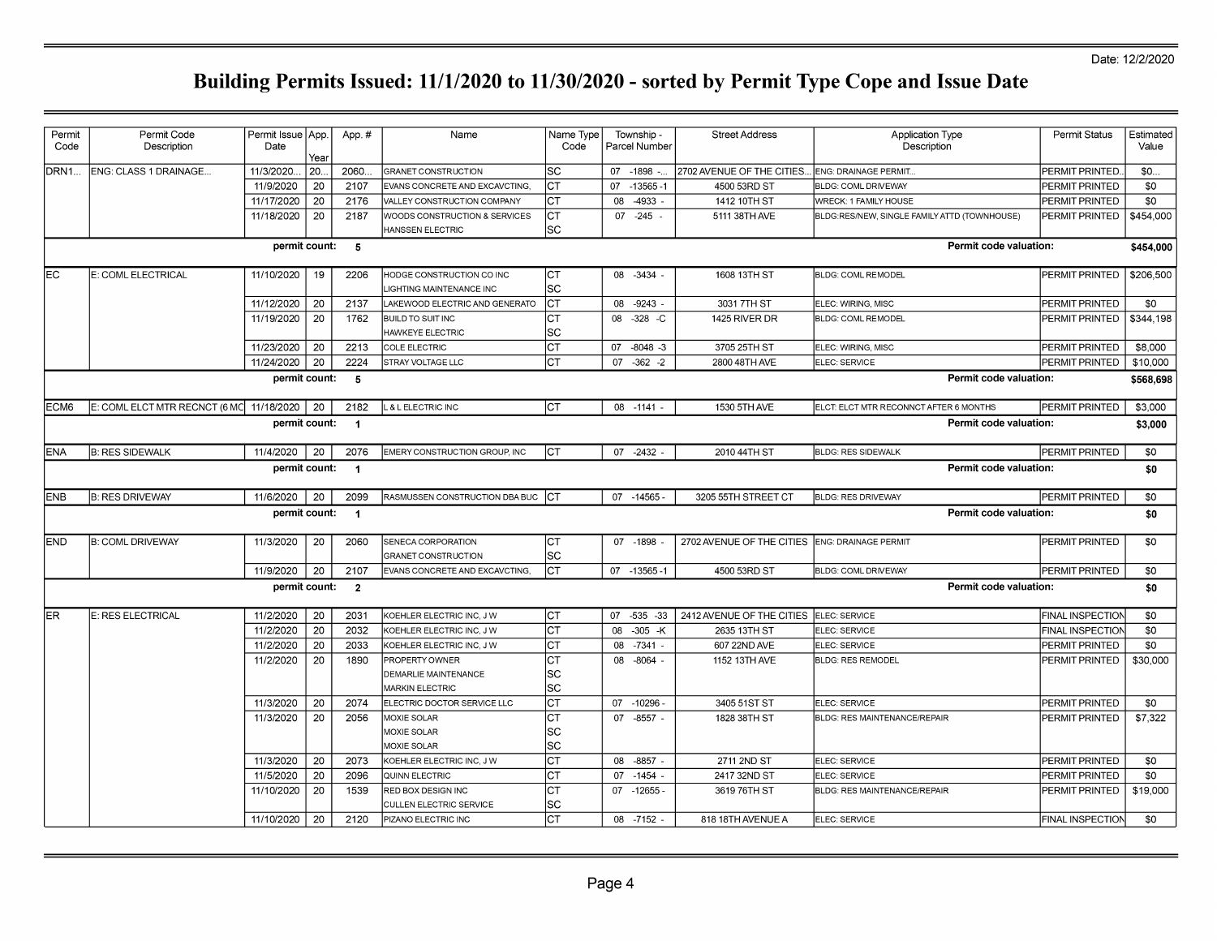| ENG: CLASS 1 DRAINAGE<br>11/3/2020.<br>20.<br>2060.<br>lsc<br>07 -1898 -<br>2702 AVENUE OF THE CITIES.<br>PERMIT PRINTED<br>\$0<br><b>GRANET CONSTRUCTION</b><br>ENG: DRAINAGE PERMIT<br>20<br>Іст<br>\$0<br>11/9/2020<br>2107<br>07<br>$-13565 - 1$<br>4500 53RD ST<br>EVANS CONCRETE AND EXCAVCTING,<br>BLDG: COML DRIVEWAY<br>PERMIT PRINTED<br>20<br>\$0<br>2176<br>Iст<br>08<br>-4933<br>1412 10TH ST<br>11/17/2020<br><b>VALLEY CONSTRUCTION COMPANY</b><br><b>WRECK: 1 FAMILY HOUSE</b><br>PERMIT PRINTED<br>20<br>11/18/2020<br>2187<br>Iст<br>$07 - 245 -$<br>5111 38TH AVE<br>\$454,000<br>WOODS CONSTRUCTION & SERVICES<br>BLDG:RES/NEW, SINGLE FAMILY ATTD (TOWNHOUSE)<br>PERMIT PRINTED<br>lsc<br>HANSSEN ELECTRIC<br>permit count:<br>Permit code valuation:<br>5<br>\$454,000<br>E: COML ELECTRICAL<br>11/10/2020<br>lст<br>1608 13TH ST<br>\$206,500<br>19<br>2206<br>08 -3434<br><b>BLDG: COML REMODEL</b><br>PERMIT PRINTED<br>HODGE CONSTRUCTION CO INC<br><b>SC</b><br><b>IGHTING MAINTENANCE INC</b><br>Іст<br>11/12/2020<br>20<br>2137<br>08 -9243 -<br>\$0<br>LAKEWOOD ELECTRIC AND GENERATO<br>3031 7TH ST<br>ELEC: WIRING, MISC<br>PERMIT PRINTED<br>11/19/2020<br>20<br>1762<br>Iст<br>\$344,198<br><b>BUILD TO SUIT INC</b><br>08<br>$-328$ -C<br>1425 RIVER DR<br><b>BLDG: COML REMODEL</b><br>PERMIT PRINTED<br>lsc<br>HAWKEYE ELECTRIC<br>lст<br>20<br>2213<br>\$8,000<br>11/23/2020<br><b>COLE ELECTRIC</b><br>07<br>$-8048 - 3$<br>3705 25TH ST<br>ELEC: WIRING, MISC<br>PERMIT PRINTED<br>Іст<br>11/24/2020<br>20<br>2224<br>$07 - 362 - 2$<br>\$10,000<br><b>STRAY VOLTAGE LLC</b><br>2800 48TH AVE<br>ELEC: SERVICE<br>PERMIT PRINTED<br>Permit code valuation:<br>permit count:<br>- 5<br>\$568,698<br>E: COML ELCT MTR RECNCT (6 MC 11/18/2020<br>20<br>2182<br>Iст<br>1530 5TH AVE<br>\$3,000<br>& L ELECTRIC INC<br>08 -1141<br>ELCT: ELCT MTR RECONNCT AFTER 6 MONTHS<br>PERMIT PRINTED<br>Permit code valuation:<br>permit count:<br>$\blacksquare$<br>\$3,000<br>Iст<br><b>B: RES SIDEWALK</b><br>11/4/2020<br>20<br>2076<br>EMERY CONSTRUCTION GROUP, INC<br>07 -2432 -<br>\$0<br>2010 44TH ST<br>BLDG: RES SIDEWALK<br><b>PERMIT PRINTED</b><br>permit count:<br>Permit code valuation:<br>\$0<br>$\overline{1}$<br><b>B: RES DRIVEWAY</b><br>11/6/2020<br>20<br>2099<br>RASMUSSEN CONSTRUCTION DBA BUC CT<br>$07 - 14565$<br>3205 55TH STREET CT<br><b>BLDG: RES DRIVEWAY</b><br><b>PERMIT PRINTED</b><br>\$0<br>Permit code valuation:<br>permit count:<br>$\blacksquare$<br>\$0<br>lст<br>\$0<br><b>B: COML DRIVEWAY</b><br>11/3/2020<br>2060<br>07 -1898<br>2702 AVENUE OF THE CITIES<br><b>ENG: DRAINAGE PERMIT</b><br>PERMIT PRINTED<br>20<br>SENECA CORPORATION<br> SC<br>GRANET CONSTRUCTION<br>Іст<br>11/9/2020<br>20<br>2107<br>07 -13565-1<br>\$0<br>EVANS CONCRETE AND EXCAVCTING,<br>4500 53RD ST<br><b>BLDG: COML DRIVEWAY</b><br>PERMIT PRINTED<br>Permit code valuation:<br>permit count:<br>$\overline{\mathbf{2}}$<br>\$0<br>Іст<br>E: RES ELECTRICAL<br>2031<br>$-535 - 33$<br>2412 AVENUE OF THE CITIES<br>\$0<br>11/2/2020<br>20<br>07<br>ELEC: SERVICE<br><b>FINAL INSPECTION</b><br>KOEHLER ELECTRIC INC. J W<br>20<br>Іст<br>\$0<br>11/2/2020<br>2032<br>KOEHLER ELECTRIC INC, J W<br>08<br>$-305$ -K<br>2635 13TH ST<br>ELEC: SERVICE<br><b>FINAL INSPECTION</b><br>Іст<br>11/2/2020<br>20<br>2033<br>607 22ND AVE<br>\$0<br>KOEHLER ELECTRIC INC, J W<br>08<br>-7341 -<br>ELEC: SERVICE<br>PERMIT PRINTED<br>20<br>Iст<br>11/2/2020<br>1890<br>\$30,000<br>PROPERTY OWNER<br>08 -8064 -<br>1152 13TH AVE<br><b>BLDG: RES REMODEL</b><br>PERMIT PRINTED<br> SC<br>DEMARLIE MAINTENANCE<br><b>SC</b><br><b>MARKIN ELECTRIC</b><br>Іст<br>11/3/2020<br>20<br>2074<br>ELECTRIC DOCTOR SERVICE LLC<br>07 -10296<br>3405 51ST ST<br>PERMIT PRINTED<br>\$0<br>ELEC: SERVICE<br>lст<br>11/3/2020<br>20<br>2056<br>\$7.322<br>MOXIE SOLAR<br>07<br>-8557 -<br>1828 38TH ST<br><b>BLDG: RES MAINTENANCE/REPAIR</b><br>PERMIT PRINTED<br>lsc<br>MOXIE SOLAR<br>lsc<br>MOXIE SOLAR<br>Iст<br>11/3/2020<br>\$0<br>20<br>2073<br>08 -8857 -<br>2711 2ND ST<br>ELEC: SERVICE<br>KOEHLER ELECTRIC INC, J W<br>PERMIT PRINTED<br>20<br>2096<br>Iст<br>\$0<br>11/5/2020<br>07<br>$-1454 -$<br>2417 32ND ST<br>QUINN ELECTRIC<br>ELEC: SERVICE<br>PERMIT PRINTED<br>Iст<br>20<br>11/10/2020<br>1539<br>$07 - 12655$<br>3619 76TH ST<br>\$19,000<br>RED BOX DESIGN INC<br>BLDG: RES MAINTENANCE/REPAIR<br>PERMIT PRINTED<br> SC<br>CULLEN ELECTRIC SERVICE<br>Іст<br>\$0<br>11/10/2020<br>20<br>2120<br>PIZANO ELECTRIC INC<br>08 -7152<br>818 18TH AVENUE A<br>FINAL INSPECTION<br>ELEC: SERVICE | Permit<br>Code | Permit Code<br>Description | Permit Issue   App.<br>Date | Year | App.# | Name | Name Type<br>Code | Township -<br>Parcel Number | <b>Street Address</b> | <b>Application Type</b><br>Description | Permit Status | Estimated<br>Value |
|-----------------------------------------------------------------------------------------------------------------------------------------------------------------------------------------------------------------------------------------------------------------------------------------------------------------------------------------------------------------------------------------------------------------------------------------------------------------------------------------------------------------------------------------------------------------------------------------------------------------------------------------------------------------------------------------------------------------------------------------------------------------------------------------------------------------------------------------------------------------------------------------------------------------------------------------------------------------------------------------------------------------------------------------------------------------------------------------------------------------------------------------------------------------------------------------------------------------------------------------------------------------------------------------------------------------------------------------------------------------------------------------------------------------------------------------------------------------------------------------------------------------------------------------------------------------------------------------------------------------------------------------------------------------------------------------------------------------------------------------------------------------------------------------------------------------------------------------------------------------------------------------------------------------------------------------------------------------------------------------------------------------------------------------------------------------------------------------------------------------------------------------------------------------------------------------------------------------------------------------------------------------------------------------------------------------------------------------------------------------------------------------------------------------------------------------------------------------------------------------------------------------------------------------------------------------------------------------------------------------------------------------------------------------------------------------------------------------------------------------------------------------------------------------------------------------------------------------------------------------------------------------------------------------------------------------------------------------------------------------------------------------------------------------------------------------------------------------------------------------------------------------------------------------------------------------------------------------------------------------------------------------------------------------------------------------------------------------------------------------------------------------------------------------------------------------------------------------------------------------------------------------------------------------------------------------------------------------------------------------------------------------------------------------------------------------------------------------------------------------------------------------------------------------------------------------------------------------------------------------------------------------------------------------------------------------------------------------------------------------------------------------------------------------------------------------------------------------------------------------------------------------------------------------------------------------------------------------------------------------------------------------------------------------------------------------------------------------------------------------------------------------------------------------------------------------------------------------------------------------------------------------------------------------------------------------------------------------------------------------------------------------------------|----------------|----------------------------|-----------------------------|------|-------|------|-------------------|-----------------------------|-----------------------|----------------------------------------|---------------|--------------------|
|                                                                                                                                                                                                                                                                                                                                                                                                                                                                                                                                                                                                                                                                                                                                                                                                                                                                                                                                                                                                                                                                                                                                                                                                                                                                                                                                                                                                                                                                                                                                                                                                                                                                                                                                                                                                                                                                                                                                                                                                                                                                                                                                                                                                                                                                                                                                                                                                                                                                                                                                                                                                                                                                                                                                                                                                                                                                                                                                                                                                                                                                                                                                                                                                                                                                                                                                                                                                                                                                                                                                                                                                                                                                                                                                                                                                                                                                                                                                                                                                                                                                                                                                                                                                                                                                                                                                                                                                                                                                                                                                                                                                                                                     | DRN1           |                            |                             |      |       |      |                   |                             |                       |                                        |               |                    |
|                                                                                                                                                                                                                                                                                                                                                                                                                                                                                                                                                                                                                                                                                                                                                                                                                                                                                                                                                                                                                                                                                                                                                                                                                                                                                                                                                                                                                                                                                                                                                                                                                                                                                                                                                                                                                                                                                                                                                                                                                                                                                                                                                                                                                                                                                                                                                                                                                                                                                                                                                                                                                                                                                                                                                                                                                                                                                                                                                                                                                                                                                                                                                                                                                                                                                                                                                                                                                                                                                                                                                                                                                                                                                                                                                                                                                                                                                                                                                                                                                                                                                                                                                                                                                                                                                                                                                                                                                                                                                                                                                                                                                                                     |                |                            |                             |      |       |      |                   |                             |                       |                                        |               |                    |
|                                                                                                                                                                                                                                                                                                                                                                                                                                                                                                                                                                                                                                                                                                                                                                                                                                                                                                                                                                                                                                                                                                                                                                                                                                                                                                                                                                                                                                                                                                                                                                                                                                                                                                                                                                                                                                                                                                                                                                                                                                                                                                                                                                                                                                                                                                                                                                                                                                                                                                                                                                                                                                                                                                                                                                                                                                                                                                                                                                                                                                                                                                                                                                                                                                                                                                                                                                                                                                                                                                                                                                                                                                                                                                                                                                                                                                                                                                                                                                                                                                                                                                                                                                                                                                                                                                                                                                                                                                                                                                                                                                                                                                                     |                |                            |                             |      |       |      |                   |                             |                       |                                        |               |                    |
|                                                                                                                                                                                                                                                                                                                                                                                                                                                                                                                                                                                                                                                                                                                                                                                                                                                                                                                                                                                                                                                                                                                                                                                                                                                                                                                                                                                                                                                                                                                                                                                                                                                                                                                                                                                                                                                                                                                                                                                                                                                                                                                                                                                                                                                                                                                                                                                                                                                                                                                                                                                                                                                                                                                                                                                                                                                                                                                                                                                                                                                                                                                                                                                                                                                                                                                                                                                                                                                                                                                                                                                                                                                                                                                                                                                                                                                                                                                                                                                                                                                                                                                                                                                                                                                                                                                                                                                                                                                                                                                                                                                                                                                     |                |                            |                             |      |       |      |                   |                             |                       |                                        |               |                    |
|                                                                                                                                                                                                                                                                                                                                                                                                                                                                                                                                                                                                                                                                                                                                                                                                                                                                                                                                                                                                                                                                                                                                                                                                                                                                                                                                                                                                                                                                                                                                                                                                                                                                                                                                                                                                                                                                                                                                                                                                                                                                                                                                                                                                                                                                                                                                                                                                                                                                                                                                                                                                                                                                                                                                                                                                                                                                                                                                                                                                                                                                                                                                                                                                                                                                                                                                                                                                                                                                                                                                                                                                                                                                                                                                                                                                                                                                                                                                                                                                                                                                                                                                                                                                                                                                                                                                                                                                                                                                                                                                                                                                                                                     |                |                            |                             |      |       |      |                   |                             |                       |                                        |               |                    |
|                                                                                                                                                                                                                                                                                                                                                                                                                                                                                                                                                                                                                                                                                                                                                                                                                                                                                                                                                                                                                                                                                                                                                                                                                                                                                                                                                                                                                                                                                                                                                                                                                                                                                                                                                                                                                                                                                                                                                                                                                                                                                                                                                                                                                                                                                                                                                                                                                                                                                                                                                                                                                                                                                                                                                                                                                                                                                                                                                                                                                                                                                                                                                                                                                                                                                                                                                                                                                                                                                                                                                                                                                                                                                                                                                                                                                                                                                                                                                                                                                                                                                                                                                                                                                                                                                                                                                                                                                                                                                                                                                                                                                                                     | EC             |                            |                             |      |       |      |                   |                             |                       |                                        |               |                    |
|                                                                                                                                                                                                                                                                                                                                                                                                                                                                                                                                                                                                                                                                                                                                                                                                                                                                                                                                                                                                                                                                                                                                                                                                                                                                                                                                                                                                                                                                                                                                                                                                                                                                                                                                                                                                                                                                                                                                                                                                                                                                                                                                                                                                                                                                                                                                                                                                                                                                                                                                                                                                                                                                                                                                                                                                                                                                                                                                                                                                                                                                                                                                                                                                                                                                                                                                                                                                                                                                                                                                                                                                                                                                                                                                                                                                                                                                                                                                                                                                                                                                                                                                                                                                                                                                                                                                                                                                                                                                                                                                                                                                                                                     |                |                            |                             |      |       |      |                   |                             |                       |                                        |               |                    |
|                                                                                                                                                                                                                                                                                                                                                                                                                                                                                                                                                                                                                                                                                                                                                                                                                                                                                                                                                                                                                                                                                                                                                                                                                                                                                                                                                                                                                                                                                                                                                                                                                                                                                                                                                                                                                                                                                                                                                                                                                                                                                                                                                                                                                                                                                                                                                                                                                                                                                                                                                                                                                                                                                                                                                                                                                                                                                                                                                                                                                                                                                                                                                                                                                                                                                                                                                                                                                                                                                                                                                                                                                                                                                                                                                                                                                                                                                                                                                                                                                                                                                                                                                                                                                                                                                                                                                                                                                                                                                                                                                                                                                                                     |                |                            |                             |      |       |      |                   |                             |                       |                                        |               |                    |
|                                                                                                                                                                                                                                                                                                                                                                                                                                                                                                                                                                                                                                                                                                                                                                                                                                                                                                                                                                                                                                                                                                                                                                                                                                                                                                                                                                                                                                                                                                                                                                                                                                                                                                                                                                                                                                                                                                                                                                                                                                                                                                                                                                                                                                                                                                                                                                                                                                                                                                                                                                                                                                                                                                                                                                                                                                                                                                                                                                                                                                                                                                                                                                                                                                                                                                                                                                                                                                                                                                                                                                                                                                                                                                                                                                                                                                                                                                                                                                                                                                                                                                                                                                                                                                                                                                                                                                                                                                                                                                                                                                                                                                                     |                |                            |                             |      |       |      |                   |                             |                       |                                        |               |                    |
|                                                                                                                                                                                                                                                                                                                                                                                                                                                                                                                                                                                                                                                                                                                                                                                                                                                                                                                                                                                                                                                                                                                                                                                                                                                                                                                                                                                                                                                                                                                                                                                                                                                                                                                                                                                                                                                                                                                                                                                                                                                                                                                                                                                                                                                                                                                                                                                                                                                                                                                                                                                                                                                                                                                                                                                                                                                                                                                                                                                                                                                                                                                                                                                                                                                                                                                                                                                                                                                                                                                                                                                                                                                                                                                                                                                                                                                                                                                                                                                                                                                                                                                                                                                                                                                                                                                                                                                                                                                                                                                                                                                                                                                     |                |                            |                             |      |       |      |                   |                             |                       |                                        |               |                    |
|                                                                                                                                                                                                                                                                                                                                                                                                                                                                                                                                                                                                                                                                                                                                                                                                                                                                                                                                                                                                                                                                                                                                                                                                                                                                                                                                                                                                                                                                                                                                                                                                                                                                                                                                                                                                                                                                                                                                                                                                                                                                                                                                                                                                                                                                                                                                                                                                                                                                                                                                                                                                                                                                                                                                                                                                                                                                                                                                                                                                                                                                                                                                                                                                                                                                                                                                                                                                                                                                                                                                                                                                                                                                                                                                                                                                                                                                                                                                                                                                                                                                                                                                                                                                                                                                                                                                                                                                                                                                                                                                                                                                                                                     |                |                            |                             |      |       |      |                   |                             |                       |                                        |               |                    |
|                                                                                                                                                                                                                                                                                                                                                                                                                                                                                                                                                                                                                                                                                                                                                                                                                                                                                                                                                                                                                                                                                                                                                                                                                                                                                                                                                                                                                                                                                                                                                                                                                                                                                                                                                                                                                                                                                                                                                                                                                                                                                                                                                                                                                                                                                                                                                                                                                                                                                                                                                                                                                                                                                                                                                                                                                                                                                                                                                                                                                                                                                                                                                                                                                                                                                                                                                                                                                                                                                                                                                                                                                                                                                                                                                                                                                                                                                                                                                                                                                                                                                                                                                                                                                                                                                                                                                                                                                                                                                                                                                                                                                                                     |                |                            |                             |      |       |      |                   |                             |                       |                                        |               |                    |
|                                                                                                                                                                                                                                                                                                                                                                                                                                                                                                                                                                                                                                                                                                                                                                                                                                                                                                                                                                                                                                                                                                                                                                                                                                                                                                                                                                                                                                                                                                                                                                                                                                                                                                                                                                                                                                                                                                                                                                                                                                                                                                                                                                                                                                                                                                                                                                                                                                                                                                                                                                                                                                                                                                                                                                                                                                                                                                                                                                                                                                                                                                                                                                                                                                                                                                                                                                                                                                                                                                                                                                                                                                                                                                                                                                                                                                                                                                                                                                                                                                                                                                                                                                                                                                                                                                                                                                                                                                                                                                                                                                                                                                                     | ECM6           |                            |                             |      |       |      |                   |                             |                       |                                        |               |                    |
|                                                                                                                                                                                                                                                                                                                                                                                                                                                                                                                                                                                                                                                                                                                                                                                                                                                                                                                                                                                                                                                                                                                                                                                                                                                                                                                                                                                                                                                                                                                                                                                                                                                                                                                                                                                                                                                                                                                                                                                                                                                                                                                                                                                                                                                                                                                                                                                                                                                                                                                                                                                                                                                                                                                                                                                                                                                                                                                                                                                                                                                                                                                                                                                                                                                                                                                                                                                                                                                                                                                                                                                                                                                                                                                                                                                                                                                                                                                                                                                                                                                                                                                                                                                                                                                                                                                                                                                                                                                                                                                                                                                                                                                     |                |                            |                             |      |       |      |                   |                             |                       |                                        |               |                    |
|                                                                                                                                                                                                                                                                                                                                                                                                                                                                                                                                                                                                                                                                                                                                                                                                                                                                                                                                                                                                                                                                                                                                                                                                                                                                                                                                                                                                                                                                                                                                                                                                                                                                                                                                                                                                                                                                                                                                                                                                                                                                                                                                                                                                                                                                                                                                                                                                                                                                                                                                                                                                                                                                                                                                                                                                                                                                                                                                                                                                                                                                                                                                                                                                                                                                                                                                                                                                                                                                                                                                                                                                                                                                                                                                                                                                                                                                                                                                                                                                                                                                                                                                                                                                                                                                                                                                                                                                                                                                                                                                                                                                                                                     | <b>ENA</b>     |                            |                             |      |       |      |                   |                             |                       |                                        |               |                    |
|                                                                                                                                                                                                                                                                                                                                                                                                                                                                                                                                                                                                                                                                                                                                                                                                                                                                                                                                                                                                                                                                                                                                                                                                                                                                                                                                                                                                                                                                                                                                                                                                                                                                                                                                                                                                                                                                                                                                                                                                                                                                                                                                                                                                                                                                                                                                                                                                                                                                                                                                                                                                                                                                                                                                                                                                                                                                                                                                                                                                                                                                                                                                                                                                                                                                                                                                                                                                                                                                                                                                                                                                                                                                                                                                                                                                                                                                                                                                                                                                                                                                                                                                                                                                                                                                                                                                                                                                                                                                                                                                                                                                                                                     |                |                            |                             |      |       |      |                   |                             |                       |                                        |               |                    |
|                                                                                                                                                                                                                                                                                                                                                                                                                                                                                                                                                                                                                                                                                                                                                                                                                                                                                                                                                                                                                                                                                                                                                                                                                                                                                                                                                                                                                                                                                                                                                                                                                                                                                                                                                                                                                                                                                                                                                                                                                                                                                                                                                                                                                                                                                                                                                                                                                                                                                                                                                                                                                                                                                                                                                                                                                                                                                                                                                                                                                                                                                                                                                                                                                                                                                                                                                                                                                                                                                                                                                                                                                                                                                                                                                                                                                                                                                                                                                                                                                                                                                                                                                                                                                                                                                                                                                                                                                                                                                                                                                                                                                                                     | <b>ENB</b>     |                            |                             |      |       |      |                   |                             |                       |                                        |               |                    |
|                                                                                                                                                                                                                                                                                                                                                                                                                                                                                                                                                                                                                                                                                                                                                                                                                                                                                                                                                                                                                                                                                                                                                                                                                                                                                                                                                                                                                                                                                                                                                                                                                                                                                                                                                                                                                                                                                                                                                                                                                                                                                                                                                                                                                                                                                                                                                                                                                                                                                                                                                                                                                                                                                                                                                                                                                                                                                                                                                                                                                                                                                                                                                                                                                                                                                                                                                                                                                                                                                                                                                                                                                                                                                                                                                                                                                                                                                                                                                                                                                                                                                                                                                                                                                                                                                                                                                                                                                                                                                                                                                                                                                                                     |                |                            |                             |      |       |      |                   |                             |                       |                                        |               |                    |
|                                                                                                                                                                                                                                                                                                                                                                                                                                                                                                                                                                                                                                                                                                                                                                                                                                                                                                                                                                                                                                                                                                                                                                                                                                                                                                                                                                                                                                                                                                                                                                                                                                                                                                                                                                                                                                                                                                                                                                                                                                                                                                                                                                                                                                                                                                                                                                                                                                                                                                                                                                                                                                                                                                                                                                                                                                                                                                                                                                                                                                                                                                                                                                                                                                                                                                                                                                                                                                                                                                                                                                                                                                                                                                                                                                                                                                                                                                                                                                                                                                                                                                                                                                                                                                                                                                                                                                                                                                                                                                                                                                                                                                                     | <b>END</b>     |                            |                             |      |       |      |                   |                             |                       |                                        |               |                    |
|                                                                                                                                                                                                                                                                                                                                                                                                                                                                                                                                                                                                                                                                                                                                                                                                                                                                                                                                                                                                                                                                                                                                                                                                                                                                                                                                                                                                                                                                                                                                                                                                                                                                                                                                                                                                                                                                                                                                                                                                                                                                                                                                                                                                                                                                                                                                                                                                                                                                                                                                                                                                                                                                                                                                                                                                                                                                                                                                                                                                                                                                                                                                                                                                                                                                                                                                                                                                                                                                                                                                                                                                                                                                                                                                                                                                                                                                                                                                                                                                                                                                                                                                                                                                                                                                                                                                                                                                                                                                                                                                                                                                                                                     |                |                            |                             |      |       |      |                   |                             |                       |                                        |               |                    |
|                                                                                                                                                                                                                                                                                                                                                                                                                                                                                                                                                                                                                                                                                                                                                                                                                                                                                                                                                                                                                                                                                                                                                                                                                                                                                                                                                                                                                                                                                                                                                                                                                                                                                                                                                                                                                                                                                                                                                                                                                                                                                                                                                                                                                                                                                                                                                                                                                                                                                                                                                                                                                                                                                                                                                                                                                                                                                                                                                                                                                                                                                                                                                                                                                                                                                                                                                                                                                                                                                                                                                                                                                                                                                                                                                                                                                                                                                                                                                                                                                                                                                                                                                                                                                                                                                                                                                                                                                                                                                                                                                                                                                                                     |                |                            |                             |      |       |      |                   |                             |                       |                                        |               |                    |
|                                                                                                                                                                                                                                                                                                                                                                                                                                                                                                                                                                                                                                                                                                                                                                                                                                                                                                                                                                                                                                                                                                                                                                                                                                                                                                                                                                                                                                                                                                                                                                                                                                                                                                                                                                                                                                                                                                                                                                                                                                                                                                                                                                                                                                                                                                                                                                                                                                                                                                                                                                                                                                                                                                                                                                                                                                                                                                                                                                                                                                                                                                                                                                                                                                                                                                                                                                                                                                                                                                                                                                                                                                                                                                                                                                                                                                                                                                                                                                                                                                                                                                                                                                                                                                                                                                                                                                                                                                                                                                                                                                                                                                                     | ler            |                            |                             |      |       |      |                   |                             |                       |                                        |               |                    |
|                                                                                                                                                                                                                                                                                                                                                                                                                                                                                                                                                                                                                                                                                                                                                                                                                                                                                                                                                                                                                                                                                                                                                                                                                                                                                                                                                                                                                                                                                                                                                                                                                                                                                                                                                                                                                                                                                                                                                                                                                                                                                                                                                                                                                                                                                                                                                                                                                                                                                                                                                                                                                                                                                                                                                                                                                                                                                                                                                                                                                                                                                                                                                                                                                                                                                                                                                                                                                                                                                                                                                                                                                                                                                                                                                                                                                                                                                                                                                                                                                                                                                                                                                                                                                                                                                                                                                                                                                                                                                                                                                                                                                                                     |                |                            |                             |      |       |      |                   |                             |                       |                                        |               |                    |
|                                                                                                                                                                                                                                                                                                                                                                                                                                                                                                                                                                                                                                                                                                                                                                                                                                                                                                                                                                                                                                                                                                                                                                                                                                                                                                                                                                                                                                                                                                                                                                                                                                                                                                                                                                                                                                                                                                                                                                                                                                                                                                                                                                                                                                                                                                                                                                                                                                                                                                                                                                                                                                                                                                                                                                                                                                                                                                                                                                                                                                                                                                                                                                                                                                                                                                                                                                                                                                                                                                                                                                                                                                                                                                                                                                                                                                                                                                                                                                                                                                                                                                                                                                                                                                                                                                                                                                                                                                                                                                                                                                                                                                                     |                |                            |                             |      |       |      |                   |                             |                       |                                        |               |                    |
|                                                                                                                                                                                                                                                                                                                                                                                                                                                                                                                                                                                                                                                                                                                                                                                                                                                                                                                                                                                                                                                                                                                                                                                                                                                                                                                                                                                                                                                                                                                                                                                                                                                                                                                                                                                                                                                                                                                                                                                                                                                                                                                                                                                                                                                                                                                                                                                                                                                                                                                                                                                                                                                                                                                                                                                                                                                                                                                                                                                                                                                                                                                                                                                                                                                                                                                                                                                                                                                                                                                                                                                                                                                                                                                                                                                                                                                                                                                                                                                                                                                                                                                                                                                                                                                                                                                                                                                                                                                                                                                                                                                                                                                     |                |                            |                             |      |       |      |                   |                             |                       |                                        |               |                    |
|                                                                                                                                                                                                                                                                                                                                                                                                                                                                                                                                                                                                                                                                                                                                                                                                                                                                                                                                                                                                                                                                                                                                                                                                                                                                                                                                                                                                                                                                                                                                                                                                                                                                                                                                                                                                                                                                                                                                                                                                                                                                                                                                                                                                                                                                                                                                                                                                                                                                                                                                                                                                                                                                                                                                                                                                                                                                                                                                                                                                                                                                                                                                                                                                                                                                                                                                                                                                                                                                                                                                                                                                                                                                                                                                                                                                                                                                                                                                                                                                                                                                                                                                                                                                                                                                                                                                                                                                                                                                                                                                                                                                                                                     |                |                            |                             |      |       |      |                   |                             |                       |                                        |               |                    |
|                                                                                                                                                                                                                                                                                                                                                                                                                                                                                                                                                                                                                                                                                                                                                                                                                                                                                                                                                                                                                                                                                                                                                                                                                                                                                                                                                                                                                                                                                                                                                                                                                                                                                                                                                                                                                                                                                                                                                                                                                                                                                                                                                                                                                                                                                                                                                                                                                                                                                                                                                                                                                                                                                                                                                                                                                                                                                                                                                                                                                                                                                                                                                                                                                                                                                                                                                                                                                                                                                                                                                                                                                                                                                                                                                                                                                                                                                                                                                                                                                                                                                                                                                                                                                                                                                                                                                                                                                                                                                                                                                                                                                                                     |                |                            |                             |      |       |      |                   |                             |                       |                                        |               |                    |
|                                                                                                                                                                                                                                                                                                                                                                                                                                                                                                                                                                                                                                                                                                                                                                                                                                                                                                                                                                                                                                                                                                                                                                                                                                                                                                                                                                                                                                                                                                                                                                                                                                                                                                                                                                                                                                                                                                                                                                                                                                                                                                                                                                                                                                                                                                                                                                                                                                                                                                                                                                                                                                                                                                                                                                                                                                                                                                                                                                                                                                                                                                                                                                                                                                                                                                                                                                                                                                                                                                                                                                                                                                                                                                                                                                                                                                                                                                                                                                                                                                                                                                                                                                                                                                                                                                                                                                                                                                                                                                                                                                                                                                                     |                |                            |                             |      |       |      |                   |                             |                       |                                        |               |                    |
|                                                                                                                                                                                                                                                                                                                                                                                                                                                                                                                                                                                                                                                                                                                                                                                                                                                                                                                                                                                                                                                                                                                                                                                                                                                                                                                                                                                                                                                                                                                                                                                                                                                                                                                                                                                                                                                                                                                                                                                                                                                                                                                                                                                                                                                                                                                                                                                                                                                                                                                                                                                                                                                                                                                                                                                                                                                                                                                                                                                                                                                                                                                                                                                                                                                                                                                                                                                                                                                                                                                                                                                                                                                                                                                                                                                                                                                                                                                                                                                                                                                                                                                                                                                                                                                                                                                                                                                                                                                                                                                                                                                                                                                     |                |                            |                             |      |       |      |                   |                             |                       |                                        |               |                    |
|                                                                                                                                                                                                                                                                                                                                                                                                                                                                                                                                                                                                                                                                                                                                                                                                                                                                                                                                                                                                                                                                                                                                                                                                                                                                                                                                                                                                                                                                                                                                                                                                                                                                                                                                                                                                                                                                                                                                                                                                                                                                                                                                                                                                                                                                                                                                                                                                                                                                                                                                                                                                                                                                                                                                                                                                                                                                                                                                                                                                                                                                                                                                                                                                                                                                                                                                                                                                                                                                                                                                                                                                                                                                                                                                                                                                                                                                                                                                                                                                                                                                                                                                                                                                                                                                                                                                                                                                                                                                                                                                                                                                                                                     |                |                            |                             |      |       |      |                   |                             |                       |                                        |               |                    |
|                                                                                                                                                                                                                                                                                                                                                                                                                                                                                                                                                                                                                                                                                                                                                                                                                                                                                                                                                                                                                                                                                                                                                                                                                                                                                                                                                                                                                                                                                                                                                                                                                                                                                                                                                                                                                                                                                                                                                                                                                                                                                                                                                                                                                                                                                                                                                                                                                                                                                                                                                                                                                                                                                                                                                                                                                                                                                                                                                                                                                                                                                                                                                                                                                                                                                                                                                                                                                                                                                                                                                                                                                                                                                                                                                                                                                                                                                                                                                                                                                                                                                                                                                                                                                                                                                                                                                                                                                                                                                                                                                                                                                                                     |                |                            |                             |      |       |      |                   |                             |                       |                                        |               |                    |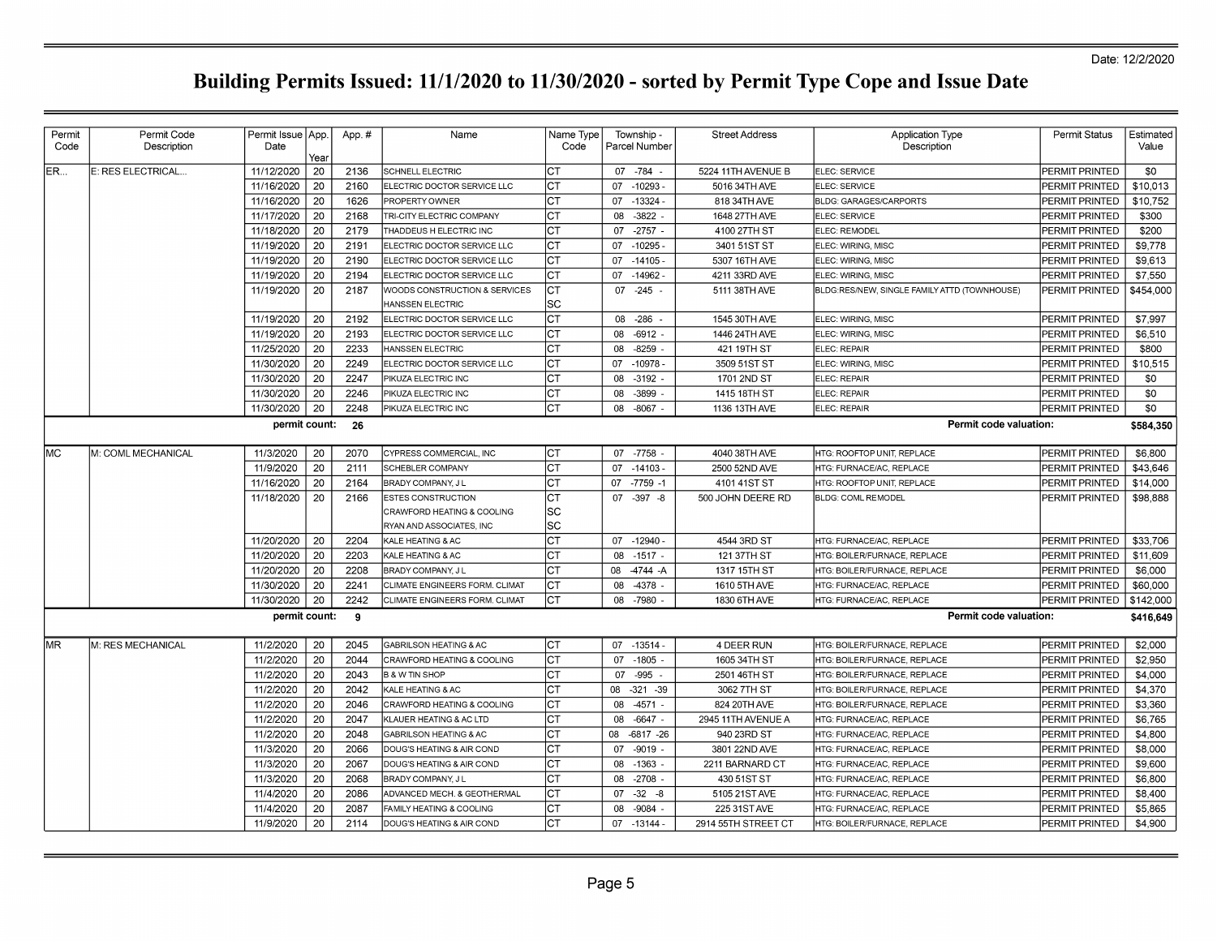| Permit | Permit Code        | Permit Issue   App. |            | App.# | Name                                   | Name Type | Township -         | <b>Street Address</b> | <b>Application Type</b>                      | Permit Status         | Estimated |
|--------|--------------------|---------------------|------------|-------|----------------------------------------|-----------|--------------------|-----------------------|----------------------------------------------|-----------------------|-----------|
| Code   | Description        | Date                |            |       |                                        | Code      | Parcel Number      |                       | Description                                  |                       | Value     |
| ER     | E: RES ELECTRICAL  | 11/12/2020          | Year<br>20 | 2136  | <b>SCHNELL ELECTRIC</b>                | СT        | 07 - 784 -         | 5224 11TH AVENUE B    | ELEC: SERVICE                                | PERMIT PRINTED        | \$0       |
|        |                    | 11/16/2020          | 20         | 2160  | ELECTRIC DOCTOR SERVICE LLC            | Iст       | 07<br>$-10293 -$   | 5016 34TH AVE         | ELEC: SERVICE                                | PERMIT PRINTED        | \$10,013  |
|        |                    | 11/16/2020          | 20         | 1626  | PROPERTY OWNER                         | СT        | $-13324$<br>07     | 818 34TH AVE          | <b>BLDG: GARAGES/CARPORTS</b>                | PERMIT PRINTED        | \$10.752  |
|        |                    | 11/17/2020          | 20         | 2168  | <b>TRI-CITY ELECTRIC COMPANY</b>       | CT        | $-3822$<br>08      | 1648 27TH AVE         | ELEC: SERVICE                                | PERMIT PRINTED        | \$300     |
|        |                    | 11/18/2020          | 20         | 2179  | THADDEUS H ELECTRIC INC                | СT        | $-2757 -$<br>07    | 4100 27TH ST          | ELEC: REMODEL                                | PERMIT PRINTED        | \$200     |
|        |                    | 11/19/2020          | 20         | 2191  | ELECTRIC DOCTOR SERVICE LLC            | CT        | 07 -10295          | 3401 51ST ST          | ELEC: WIRING, MISC                           | PERMIT PRINTED        | \$9,778   |
|        |                    | 11/19/2020          | 20         | 2190  | ELECTRIC DOCTOR SERVICE LLC            | СT        | 07<br>$-14105$     | 5307 16TH AVE         | ELEC: WIRING, MISC                           | PERMIT PRINTED        | \$9,613   |
|        |                    | 11/19/2020          | 20         | 2194  | ELECTRIC DOCTOR SERVICE LLC            | CT        | 07<br>$-14962$     | 4211 33RD AVE         | ELEC: WIRING, MISC                           | PERMIT PRINTED        | \$7,550   |
|        |                    | 11/19/2020          | 20         | 2187  | WOODS CONSTRUCTION & SERVICES          | СT        | 07<br>$-245$       | 5111 38TH AVE         | BLDG:RES/NEW, SINGLE FAMILY ATTD (TOWNHOUSE) | PERMIT PRINTED        | \$454,000 |
|        |                    |                     |            |       | <b>HANSSEN ELECTRIC</b>                | SC        |                    |                       |                                              |                       |           |
|        |                    | 11/19/2020          | 20         | 2192  | ELECTRIC DOCTOR SERVICE LLC            | СT        | $-286$<br>08       | 1545 30TH AVE         | ELEC: WIRING, MISC                           | PERMIT PRINTED        | \$7,997   |
|        |                    | 11/19/2020          | 20         | 2193  | ELECTRIC DOCTOR SERVICE LLC            | СT        | 08<br>$-6912$ .    | 1446 24TH AVE         | ELEC: WIRING, MISC                           | PERMIT PRINTED        | \$6,510   |
|        |                    | 11/25/2020          | 20         | 2233  | HANSSEN ELECTRIC                       | СT        | 80<br>$-8259$      | 421 19TH ST           | ELEC: REPAIR                                 | PERMIT PRINTED        | \$800     |
|        |                    | 11/30/2020          | 20         | 2249  | ELECTRIC DOCTOR SERVICE LLC            | CТ        | $-10978$<br>07     | 3509 51ST ST          | ELEC: WIRING, MISC                           | PERMIT PRINTED        | \$10.515  |
|        |                    | 11/30/2020          | 20         | 2247  | PIKUZA ELECTRIC INC                    | Iст       | 08<br>$-3192$ .    | 1701 2ND ST           | ELEC: REPAIR                                 | PERMIT PRINTED        | \$0       |
|        |                    | 11/30/2020          | 20         | 2246  | PIKUZA ELECTRIC INC                    | CT        | $-3899$<br>08      | 1415 18TH ST          | ELEC: REPAIR                                 | PERMIT PRINTED        | \$0       |
|        |                    | 11/30/2020          | 20         | 2248  | PIKUZA ELECTRIC INC                    | CT        | 08<br>$-8067$ -    | 1136 13TH AVE         | ELEC: REPAIR                                 | PERMIT PRINTED        | \$0       |
|        |                    | permit count:       |            | 26    |                                        |           |                    |                       | Permit code valuation:                       |                       | \$584,350 |
| MС     | M: COML MECHANICAL | 11/3/2020           | 20         | 2070  | CYPRESS COMMERCIAL, INC                | Iст       | $-7758$<br>07      | 4040 38TH AVE         | HTG: ROOFTOP UNIT, REPLACE                   | PERMIT PRINTED        | \$6,800   |
|        |                    | 11/9/2020           | 20         | 2111  | SCHEBLER COMPANY                       | СT        | 07<br>$-14103$     | 2500 52ND AVE         | HTG: FURNACE/AC, REPLACE                     | PERMIT PRINTED        | \$43.646  |
|        |                    | 11/16/2020          | 20         | 2164  | BRADY COMPANY, J L                     | СT        | 07<br>$-7759 - 1$  | 4101 41ST ST          | <b>HTG: ROOFTOP UNIT, REPLACE</b>            | PERMIT PRINTED        | \$14,000  |
|        |                    | 11/18/2020          | 20         | 2166  | ESTES CONSTRUCTION                     | <b>CT</b> | 07 - 397 - 8       | 500 JOHN DEERE RD     | <b>BLDG: COML REMODEL</b>                    | PERMIT PRINTED        | \$98,888  |
|        |                    |                     |            |       | CRAWFORD HEATING & COOLING             | SC        |                    |                       |                                              |                       |           |
|        |                    |                     |            |       | RYAN AND ASSOCIATES, INC               | SC        |                    |                       |                                              |                       |           |
|        |                    | 11/20/2020          | 20         | 2204  | <b>KALE HEATING &amp; AC</b>           | СT        | 07 -12940          | 4544 3RD ST           | HTG: FURNACE/AC, REPLACE                     | PERMIT PRINTED        | \$33,706  |
|        |                    | 11/20/2020          | 20         | 2203  | <b>KALE HEATING &amp; AC</b>           | <b>CT</b> | 08<br>$-1517 -$    | 121 37TH ST           | HTG: BOILER/FURNACE, REPLACE                 | PERMIT PRINTED        | \$11,609  |
|        |                    | 11/20/2020          | 20         | 2208  | BRADY COMPANY, J L                     | СT        | $-4744 - A$<br>08  | 1317 15TH ST          | HTG: BOILER/FURNACE, REPLACE                 | PERMIT PRINTED        | \$6,000   |
|        |                    | 11/30/2020          | 20         | 2241  | CLIMATE ENGINEERS FORM. CLIMAT         | Iст       | -4378<br>08        | 1610 5TH AVE          | HTG: FURNACE/AC, REPLACE                     | PERMIT PRINTED        | \$60,000  |
|        |                    | 11/30/2020          | 20         | 2242  | CLIMATE ENGINEERS FORM. CLIMAT         | CT        | $-7980$<br>80      | 1830 6TH AVE          | HTG: FURNACE/AC, REPLACE                     | PERMIT PRINTED        | \$142,000 |
|        |                    | permit count:       |            | -9    |                                        |           |                    |                       | Permit code valuation:                       |                       | \$416,649 |
| MR     | M: RES MECHANICAL  | 11/2/2020           | 20         | 2045  | GABRILSON HEATING & AC                 | lст       | $-13514$<br>07     | 4 DEER RUN            | HTG: BOILER/FURNACE, REPLACE                 | <b>PERMIT PRINTED</b> | \$2,000   |
|        |                    | 11/2/2020           | 20         | 2044  | <b>CRAWFORD HEATING &amp; COOLING</b>  | СT        | 07 -1805           | 1605 34TH ST          | HTG: BOILER/FURNACE, REPLACE                 | PERMIT PRINTED        | \$2,950   |
|        |                    | 11/2/2020           | 20         | 2043  | <b>B &amp; W TIN SHOP</b>              | СT        | 07<br>$-995$       | 2501 46TH ST          | HTG: BOILER/FURNACE, REPLACE                 | PERMIT PRINTED        | \$4,000   |
|        |                    | 11/2/2020           | 20         | 2042  | <b>CALE HEATING &amp; AC</b>           | СT        | 80<br>$-321 - 39$  | 3062 7TH ST           | HTG: BOILER/FURNACE. REPLACE                 | PERMIT PRINTED        | \$4,370   |
|        |                    | 11/2/2020           | 20         | 2046  | CRAWFORD HEATING & COOLING             | СT        | 08<br>$-4571 -$    | 824 20TH AVE          | HTG: BOILER/FURNACE. REPLACE                 | PERMIT PRINTED        | \$3,360   |
|        |                    | 11/2/2020           | 20         | 2047  | KLAUER HEATING & AC LTD                | СT        | $-6647 -$<br>08    | 2945 11TH AVENUE A    | HTG: FURNACE/AC, REPLACE                     | PERMIT PRINTED        | \$6,765   |
|        |                    | 11/2/2020           | 20         | 2048  | <b>GABRILSON HEATING &amp; AC</b>      | Iст       | $-6817 - 26$<br>08 | 940 23RD ST           | HTG: FURNACE/AC, REPLACE                     | <b>PERMIT PRINTED</b> | \$4,800   |
|        |                    | 11/3/2020           | 20         | 2066  | DOUG'S HEATING & AIR COND              | СT        | 07<br>$-9019$ .    | 3801 22ND AVE         | HTG: FURNACE/AC, REPLACE                     | PERMIT PRINTED        | \$8,000   |
|        |                    | 11/3/2020           | 20         | 2067  | DOUG'S HEATING & AIR COND              | СT        | $-1363$<br>08      | 2211 BARNARD CT       | HTG: FURNACE/AC. REPLACE                     | PERMIT PRINTED        | \$9,600   |
|        |                    | 11/3/2020           | 20         | 2068  | BRADY COMPANY, J L                     | CT        | 08<br>$-2708$      | 430 51ST ST           | HTG: FURNACE/AC, REPLACE                     | PERMIT PRINTED        | \$6,800   |
|        |                    | 11/4/2020           | 20         | 2086  | <b>ADVANCED MECH. &amp; GEOTHERMAL</b> | СT        | 07<br>$-32 - 8$    | 5105 21ST AVE         | HTG: FURNACE/AC, REPLACE                     | PERMIT PRINTED        | \$8,400   |
|        |                    | 11/4/2020           | 20         | 2087  | FAMILY HEATING & COOLING               | СT        | $-9084$<br>08      | 225 31 ST AVE         | HTG: FURNACE/AC, REPLACE                     | PERMIT PRINTED        | \$5,865   |
|        |                    | 11/9/2020           | 20         | 2114  | DOUG'S HEATING & AIR COND              | CT        | 07 - 13144         | 2914 55TH STREET CT   | HTG: BOILER/FURNACE, REPLACE                 | PERMIT PRINTED        | \$4,900   |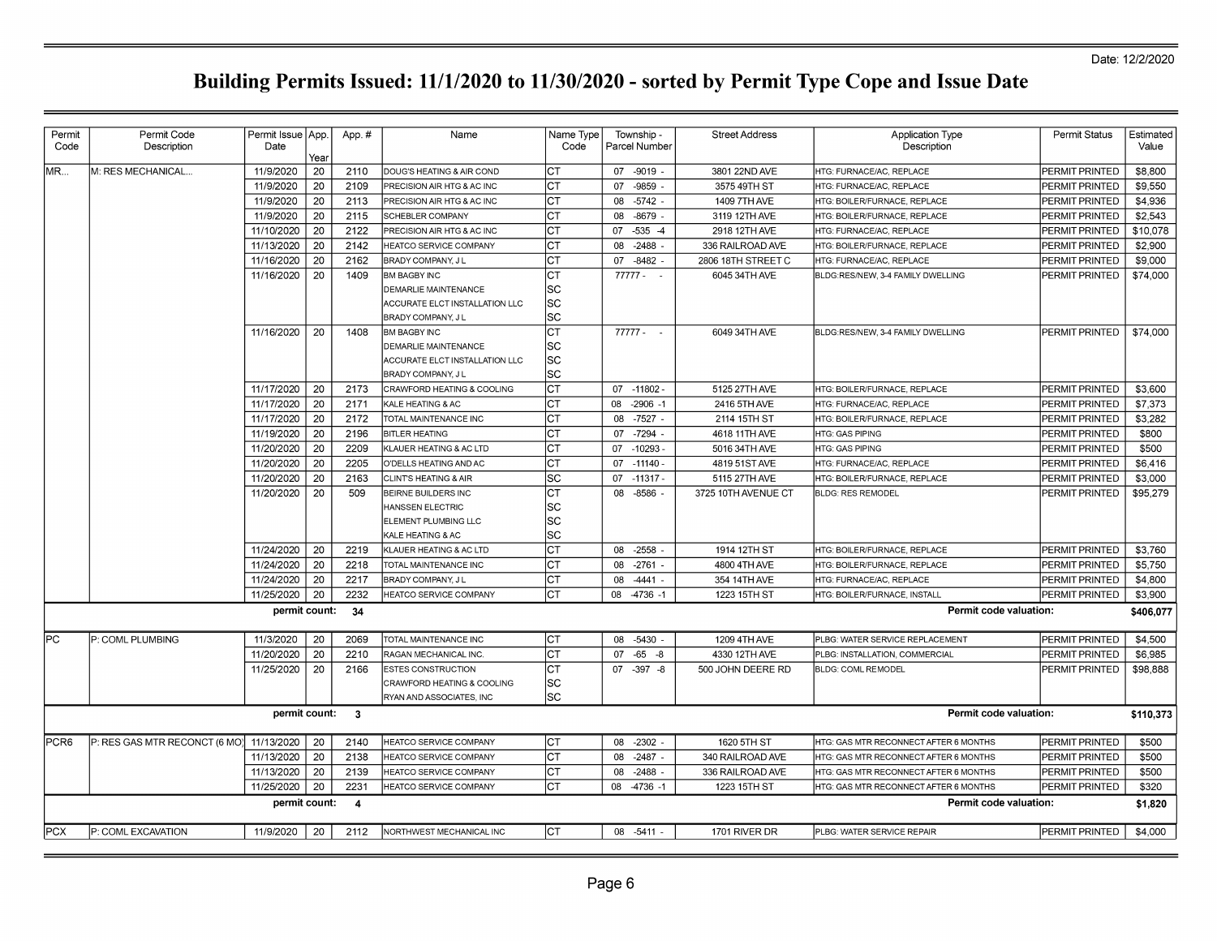| Permit<br>Code | Permit Code<br>Description    | Permit Issue   App.<br>Date | Year     | App.#                   | Name                                             | Name Type<br>Code | Township -<br>Parcel Number | <b>Street Address</b>          | <b>Application Type</b><br>Description             | Permit Status                    | Estimated<br>Value |
|----------------|-------------------------------|-----------------------------|----------|-------------------------|--------------------------------------------------|-------------------|-----------------------------|--------------------------------|----------------------------------------------------|----------------------------------|--------------------|
| MR             | M: RES MECHANICAL             | 11/9/2020                   | 20       | 2110                    | DOUG'S HEATING & AIR COND                        | СT                | 07 -9019 -                  | 3801 22ND AVE                  | HTG: FURNACE/AC. REPLACE                           | PERMIT PRINTED                   | \$8,800            |
|                |                               | 11/9/2020                   | 20       | 2109                    | PRECISION AIR HTG & AC INC                       | СT                | 07<br>-9859                 | 3575 49TH ST                   | HTG: FURNACE/AC, REPLACE                           | PERMIT PRINTED                   | \$9,550            |
|                |                               | 11/9/2020                   | 20       | 2113                    | PRECISION AIR HTG & AC INC                       | C1                | 80<br>$-5742$               | 1409 7TH AVE                   | HTG: BOILER/FURNACE, REPLACE                       | PERMIT PRINTED                   | \$4,936            |
|                |                               | 11/9/2020                   | 20       | 2115                    | SCHEBLER COMPANY                                 | Iст               | 08<br>$-8679$ -             | 3119 12TH AVE                  | HTG: BOILER/FURNACE, REPLACE                       | PERMIT PRINTED                   | \$2,543            |
|                |                               | 11/10/2020                  | 20       | 2122                    | PRECISION AIR HTG & AC INC                       | lc1               | $-535 - 4$<br>07            | 2918 12TH AVE                  | HTG: FURNACE/AC, REPLACE                           | PERMIT PRINTED                   | \$10,078           |
|                |                               | 11/13/2020                  | 20       | 2142                    | HEATCO SERVICE COMPANY                           | Iст               | $-2488$<br>08               | 336 RAILROAD AVE               | HTG: BOILER/FURNACE, REPLACE                       | PERMIT PRINTED                   | \$2,900            |
|                |                               | 11/16/2020                  | 20       | 2162                    | <b>BRADY COMPANY, JL</b>                         | Iст               | 07 -8482                    | 2806 18TH STREET C             | HTG: FURNACE/AC, REPLACE                           | PERMIT PRINTED                   | \$9,000            |
|                |                               | 11/16/2020                  | 20       | 1409                    | <b>BM BAGBY INC</b>                              | Iст               | $77777 -$                   | 6045 34TH AVE                  | BLDG:RES/NEW, 3-4 FAMILY DWELLING                  | PERMIT PRINTED                   | \$74,000           |
|                |                               |                             |          |                         | <b>DEMARLIE MAINTENANCE</b>                      | lsc               |                             |                                |                                                    |                                  |                    |
|                |                               |                             |          |                         | ACCURATE ELCT INSTALLATION LLC                   | SC                |                             |                                |                                                    |                                  |                    |
|                |                               |                             |          |                         | BRADY COMPANY, J L                               | SC                |                             |                                |                                                    |                                  |                    |
|                |                               | 11/16/2020                  | 20       | 1408                    | BM BAGBY INC                                     | <b>CT</b>         | 77777 -                     | 6049 34TH AVE                  | BLDG:RES/NEW, 3-4 FAMILY DWELLING                  | PERMIT PRINTED                   | \$74,000           |
|                |                               |                             |          |                         | <b>DEMARLIE MAINTENANCE</b>                      | lsc               |                             |                                |                                                    |                                  |                    |
|                |                               |                             |          |                         | ACCURATE ELCT INSTALLATION LLC                   | SC                |                             |                                |                                                    |                                  |                    |
|                |                               |                             |          |                         | <b>BRADY COMPANY, JL</b>                         | sc                |                             |                                |                                                    |                                  |                    |
|                |                               | 11/17/2020                  | 20       | 2173                    | CRAWFORD HEATING & COOLING                       | lст               | $07 - 11802$                | 5125 27TH AVE                  | HTG: BOILER/FURNACE, REPLACE                       | PERMIT PRINTED                   | \$3,600            |
|                |                               | 11/17/2020                  | 20       | 2171                    | KALE HEATING & AC                                | lст               | 08<br>$-2906 - 1$           | 2416 5TH AVE                   | HTG: FURNACE/AC, REPLACE                           | PERMIT PRINTED                   | \$7,373            |
|                |                               | 11/17/2020                  | 20       | 2172                    | TOTAL MAINTENANCE INC                            | СT                | $-7527$ -<br>08             | 2114 15TH ST                   | HTG: BOILER/FURNACE, REPLACE                       | PERMIT PRINTED                   | \$3,282            |
|                |                               | 11/19/2020<br>11/20/2020    | 20<br>20 | 2196<br>2209            | <b>BITLER HEATING</b><br>KLAUER HEATING & AC LTD | Iст<br>Iст        | 07 -7294<br>07<br>$-10293$  | 4618 11TH AVE<br>5016 34TH AVE | <b>HTG: GAS PIPING</b>                             | PERMIT PRINTED<br>PERMIT PRINTED | \$800<br>\$500     |
|                |                               | 11/20/2020                  | 20       | 2205                    | O'DELLS HEATING AND AC                           | Iст               | 07 -11140                   | 4819 51ST AVE                  | <b>HTG: GAS PIPING</b><br>HTG: FURNACE/AC, REPLACE | PERMIT PRINTED                   | \$6,416            |
|                |                               | 11/20/2020                  | 20       | 2163                    | <b>CLINTS HEATING &amp; AIR</b>                  | lsc               | 07<br>$-11317$              | 5115 27TH AVE                  | HTG: BOILER/FURNACE, REPLACE                       | PERMIT PRINTED                   | \$3,000            |
|                |                               | 11/20/2020                  | 20       | 509                     | BEIRNE BUILDERS INC                              | Iст               | 08<br>-8586                 | 3725 10TH AVENUE CT            | <b>BLDG: RES REMODEL</b>                           | PERMIT PRINTED                   | \$95,279           |
|                |                               |                             |          |                         | HANSSEN ELECTRIC                                 | SC                |                             |                                |                                                    |                                  |                    |
|                |                               |                             |          |                         | ELEMENT PLUMBING LLC                             | SC                |                             |                                |                                                    |                                  |                    |
|                |                               |                             |          |                         | KALE HEATING & AC                                | SC                |                             |                                |                                                    |                                  |                    |
|                |                               | 11/24/2020                  | 20       | 2219                    | KLAUER HEATING & AC LTD                          | CT                | 08 -2558                    | 1914 12TH ST                   | HTG: BOILER/FURNACE, REPLACE                       | PERMIT PRINTED                   | \$3.760            |
|                |                               | 11/24/2020                  | 20       | 2218                    | TOTAL MAINTENANCE INC                            | <b>CT</b>         | $-2761$<br>08               | 4800 4TH AVE                   | HTG: BOILER/FURNACE, REPLACE                       | PERMIT PRINTED                   | \$5,750            |
|                |                               | 11/24/2020                  | 20       | 2217                    | <b>BRADY COMPANY, JL</b>                         | lст               | 08<br>$-4441$               | 354 14TH AVE                   | HTG: FURNACE/AC, REPLACE                           | PERMIT PRINTED                   | \$4,800            |
|                |                               | 11/25/2020                  | 20       | 2232                    | <b>HEATCO SERVICE COMPANY</b>                    | <b>CT</b>         | 08 -4736 -1                 | 1223 15TH ST                   | HTG: BOILER/FURNACE, INSTALL                       | PERMIT PRINTED                   | \$3,900            |
|                |                               | permit count:               |          | -34                     |                                                  |                   |                             |                                | Permit code valuation:                             |                                  | \$406,077          |
| lPC.           | P: COML PLUMBING              | 11/3/2020                   | 20       | 2069                    | TOTAL MAINTENANCE INC                            | Iст               | 08 -5430                    | 1209 4TH AVE                   | PLBG: WATER SERVICE REPLACEMENT                    | PERMIT PRINTED                   | \$4,500            |
|                |                               | 11/20/2020                  | 20       | 2210                    | RAGAN MECHANICAL INC                             | CT                | 07<br>$-65 - 8$             | 4330 12TH AVE                  | PLBG: INSTALLATION, COMMERCIAL                     | PERMIT PRINTED                   | \$6,985            |
|                |                               | 11/25/2020                  | 20       | 2166                    | ESTES CONSTRUCTION                               | Іст               | 07 - 397 - 8                | 500 JOHN DEERE RD              | BLDG: COML REMODEL                                 | PERMIT PRINTED                   | \$98,888           |
|                |                               |                             |          |                         | CRAWFORD HEATING & COOLING                       | SC                |                             |                                |                                                    |                                  |                    |
|                |                               |                             |          |                         | RYAN AND ASSOCIATES, INC                         | lsc               |                             |                                |                                                    |                                  |                    |
|                |                               | permit count:               |          | $\overline{\mathbf{3}}$ |                                                  |                   |                             |                                | Permit code valuation:                             |                                  | \$110,373          |
| IPCR6          | P: RES GAS MTR RECONCT (6 MO) | 11/13/2020                  | 20       | 2140                    | <b>HEATCO SERVICE COMPANY</b>                    | Iст               | 08 -2302 -                  | 1620 5TH ST                    | HTG: GAS MTR RECONNECT AFTER 6 MONTHS              | <b>PERMIT PRINTED</b>            | \$500              |
|                |                               | 11/13/2020                  | 20       | 2138                    | <b>HEATCO SERVICE COMPANY</b>                    | Iст               | $-2487 -$<br>80             | 340 RAILROAD AVE               | HTG: GAS MTR RECONNECT AFTER 6 MONTHS              | <b>PERMIT PRINTED</b>            | \$500              |
|                |                               | 11/13/2020                  | 20       | 2139                    | <b>HEATCO SERVICE COMPANY</b>                    | <b>CT</b>         | $-2488$<br>08               | 336 RAILROAD AVE               | HTG: GAS MTR RECONNECT AFTER 6 MONTHS              | PERMIT PRINTED                   | \$500              |
|                |                               | 11/25/2020                  | 20       | 2231                    | <b>HEATCO SERVICE COMPANY</b>                    | <b>CT</b>         | 08<br>$-4736 - 1$           | 1223 15TH ST                   | HTG: GAS MTR RECONNECT AFTER 6 MONTHS              | PERMIT PRINTED                   | \$320              |
|                |                               | permit count:               |          | $\overline{4}$          |                                                  |                   |                             |                                | Permit code valuation:                             |                                  | \$1,820            |
| <b>PCX</b>     | P: COML EXCAVATION            | 11/9/2020                   | 20       | 2112                    | NORTHWEST MECHANICAL INC                         | Iст               | 08 -5411 -                  | 1701 RIVER DR                  | PLBG: WATER SERVICE REPAIR                         | PERMIT PRINTED                   | \$4,000            |
|                |                               |                             |          |                         |                                                  |                   |                             |                                |                                                    |                                  |                    |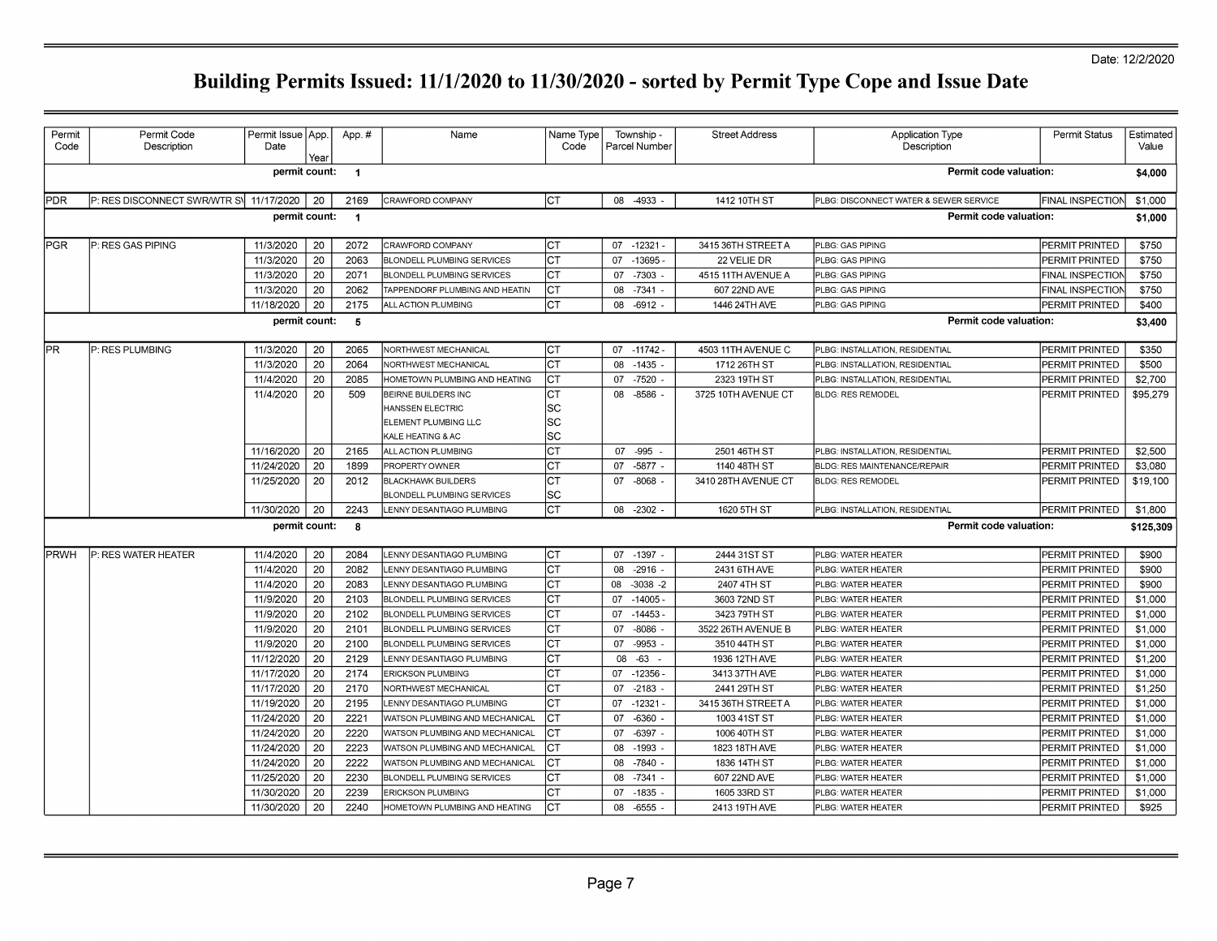| <b>PDR</b>  | P: RES DISCONNECT SWR/WTR S\ 11/17/2020 | permit count:            |          |                         |                                                                                             | Code                           | Parcel Number                    |                              | Description                              |                                  | Value              |
|-------------|-----------------------------------------|--------------------------|----------|-------------------------|---------------------------------------------------------------------------------------------|--------------------------------|----------------------------------|------------------------------|------------------------------------------|----------------------------------|--------------------|
|             |                                         |                          |          | $\blacksquare$          |                                                                                             |                                |                                  |                              | Permit code valuation:                   |                                  | \$4,000            |
|             |                                         |                          | 20       | 2169                    | CRAWFORD COMPANY                                                                            | Iст                            | -4933<br>08                      | 1412 10TH ST                 | PLBG: DISCONNECT WATER & SEWER SERVICE   | FINAL INSPECTION                 | \$1,000            |
|             |                                         | permit count:            |          | $\overline{\mathbf{1}}$ |                                                                                             |                                |                                  |                              | Permit code valuation:                   |                                  | \$1,000            |
| PGR         | P: RES GAS PIPING                       | 11/3/2020                | 20       | 2072                    | CRAWFORD COMPANY                                                                            | Iст                            | $07 - 12321 -$                   | 3415 36TH STREET A           | PLBG: GAS PIPING                         | PERMIT PRINTED                   | \$750              |
|             |                                         | 11/3/2020                | 20       | 2063                    | <b>BLONDELL PLUMBING SERVICES</b>                                                           | lст                            | $-13695$<br>07                   | 22 VELIE DR                  | PLBG: GAS PIPING                         | PERMIT PRINTED                   | \$750              |
|             |                                         | 11/3/2020                | 20       | 2071                    | <b>BLONDELL PLUMBING SERVICES</b>                                                           | CT                             | 07<br>$-7303$                    | 4515 11TH AVENUE A           | PLBG: GAS PIPING                         | FINAL INSPECTION                 | \$750              |
|             |                                         | 11/3/2020                | 20       | 2062                    | TAPPENDORF PLUMBING AND HEATIN                                                              | Iст                            | $-7341 -$<br>08                  | 607 22ND AVE                 | PLBG: GAS PIPING                         | FINAL INSPECTION                 | \$750              |
|             |                                         | 11/18/2020               | 20       | 2175                    | ALL ACTION PLUMBING                                                                         | <b>CT</b>                      | 80<br>$-6912 -$                  | 1446 24TH AVE                | PLBG: GAS PIPING                         | PERMIT PRINTED                   | \$400              |
|             |                                         | permit count:            |          | 5                       |                                                                                             |                                |                                  |                              | Permit code valuation:                   |                                  | \$3,400            |
| lPR.        | P: RES PLUMBING                         | 11/3/2020                | 20       | 2065                    | <b>NORTHWEST MECHANICAL</b>                                                                 | lст                            | $07 - 11742$                     | 4503 11TH AVENUE C           | PLBG: INSTALLATION, RESIDENTIAL          | PERMIT PRINTED                   | \$350              |
|             |                                         | 11/3/2020                | 20       | 2064                    | NORTHWEST MECHANICAL                                                                        | <b>CT</b>                      | $-1435 -$<br>08                  | 1712 26TH ST                 | PLBG: INSTALLATION, RESIDENTIAL          | PERMIT PRINTED                   | \$500              |
|             |                                         | 11/4/2020                | 20       | 2085                    | HOMETOWN PLUMBING AND HEATING                                                               | CT                             | $-7520$<br>07                    | 2323 19TH ST                 | PLBG: INSTALLATION, RESIDENTIAL          | PERMIT PRINTED                   | \$2,700            |
|             |                                         | 11/4/2020                | 20       | 509                     | <b>BEIRNE BUILDERS INC</b><br>HANSSEN ELECTRIC<br>ELEMENT PLUMBING LLC<br>KALE HEATING & AC | <b>CT</b><br> SC<br> SC<br> sc | 08 -8586                         | 3725 10TH AVENUE CT          | <b>BLDG: RES REMODEL</b>                 | PERMIT PRINTED                   | \$95,279           |
|             |                                         | 11/16/2020               | 20       | 2165                    | ALL ACTION PLUMBING                                                                         | <b>CT</b>                      | 07 -995 -                        | 2501 46TH ST                 | PLBG: INSTALLATION, RESIDENTIAL          | PERMIT PRINTED                   | \$2,500            |
|             |                                         | 11/24/2020               | 20       | 1899                    | PROPERTY OWNER                                                                              | CT                             | 07 -5877 -                       | 1140 48TH ST                 | <b>BLDG: RES MAINTENANCE/REPAIR</b>      | PERMIT PRINTED                   | \$3,080            |
|             |                                         | 11/25/2020               | 20       | 2012                    | <b>BLACKHAWK BUILDERS</b><br>BLONDELL PLUMBING SERVICES                                     | CT<br> SC                      | 07 -8068 -                       | 3410 28TH AVENUE CT          | <b>BLDG: RES REMODEL</b>                 | PERMIT PRINTED                   | \$19,100           |
|             |                                         | 11/30/2020               | 20       | 2243                    | LENNY DESANTIAGO PLUMBING                                                                   | $\overline{c}$                 | 08 -2302 -                       | 1620 5TH ST                  | PLBG: INSTALLATION, RESIDENTIAL          | PERMIT PRINTED                   | \$1,800            |
|             |                                         | permit count:            |          | 8                       |                                                                                             |                                |                                  |                              | Permit code valuation:                   |                                  | \$125,309          |
| <b>PRWH</b> | P: RES WATER HEATER                     | 11/4/2020                | 20       | 2084                    | LENNY DESANTIAGO PLUMBING                                                                   | Iст                            | 07 -1397 -                       | 2444 31ST ST                 | PLBG: WATER HEATER                       | PERMIT PRINTED                   | \$900              |
|             |                                         | 11/4/2020                | 20       | 2082                    | LENNY DESANTIAGO PLUMBING                                                                   | Іст                            | 08<br>$-2916 -$                  | 2431 6TH AVE                 | PLBG: WATER HEATER                       | PERMIT PRINTED                   | \$900              |
|             |                                         | 11/4/2020                | 20       | 2083                    | LENNY DESANTIAGO PLUMBING                                                                   | СT                             | 08<br>$-3038 - 2$                | 2407 4TH ST                  | PLBG: WATER HEATER                       | PERMIT PRINTED                   | \$900              |
|             |                                         | 11/9/2020                | 20       | 2103                    | BLONDELL PLUMBING SERVICES                                                                  | Iст                            | $-14005$<br>07                   | 3603 72ND ST                 | PLBG: WATER HEATER                       | PERMIT PRINTED                   | \$1,000            |
|             |                                         | 11/9/2020                | 20       | 2102                    | BLONDELL PLUMBING SERVICES                                                                  | СT                             | 07<br>$-14453$                   | 3423 79TH ST                 | PLBG: WATER HEATER                       | PERMIT PRINTED                   | \$1,000            |
|             |                                         | 11/9/2020                | 20       | 2101                    | <b>BLONDELL PLUMBING SERVICES</b>                                                           | CT                             | 07<br>$-8086$                    | 3522 26TH AVENUE B           | PLBG: WATER HEATER                       | PERMIT PRINTED                   | \$1,000            |
|             |                                         | 11/9/2020                | 20       | 2100                    | <b>BLONDELL PLUMBING SERVICES</b>                                                           | Iст                            | $-9953 -$<br>07                  | 3510 44TH ST                 | PLBG: WATER HEATER                       | PERMIT PRINTED                   | \$1,000            |
|             |                                         | 11/12/2020               | 20       | 2129                    | LENNY DESANTIAGO PLUMBING                                                                   | CT                             | 08<br>$-63$                      | 1936 12TH AVE                | PLBG: WATER HEATER                       | PERMIT PRINTED                   | \$1,200            |
|             |                                         | 11/17/2020               | 20       | 2174                    | <b>ERICKSON PLUMBING</b>                                                                    | Iст                            | 07 - 12356                       | 3413 37TH AVE                | PLBG: WATER HEATER                       | PERMIT PRINTED                   | \$1,000            |
|             |                                         | 11/17/2020               | 20       | 2170                    | NORTHWEST MECHANICAL                                                                        | СT                             | 07<br>$-2183$                    | 2441 29TH ST                 | PLBG: WATER HEATER                       | PERMIT PRINTED                   | \$1,250            |
|             |                                         | 11/19/2020               | 20       | 2195                    | LENNY DESANTIAGO PLUMBING                                                                   | <b>CT</b>                      | 07<br>$-12321$                   | 3415 36TH STREET A           | PLBG: WATER HEATER                       | PERMIT PRINTED                   | \$1,000            |
|             |                                         | 11/24/2020               | 20       | 2221                    | WATSON PLUMBING AND MECHANICAL                                                              | lст                            | $-6360$<br>07                    | 1003 41ST ST                 | PLBG: WATER HEATER                       | PERMIT PRINTED                   | \$1,000            |
|             |                                         | 11/24/2020               | 20       | 2220                    | WATSON PLUMBING AND MECHANICAL                                                              | CT                             | 07<br>$-6397 -$                  | 1006 40TH ST                 | PLBG: WATER HEATER                       | PERMIT PRINTED                   | \$1,000            |
|             |                                         | 11/24/2020               | 20<br>20 | 2223                    | WATSON PLUMBING AND MECHANICAL                                                              | CT                             | $-1993$<br>08                    | 1823 18TH AVE                | PLBG: WATER HEATER                       | PERMIT PRINTED                   | \$1,000            |
|             |                                         | 11/24/2020<br>11/25/2020 | 20       | 2222<br>2230            | WATSON PLUMBING AND MECHANICAL<br><b>BLONDELL PLUMBING SERVICES</b>                         | СT<br>СT                       | 08<br>$-7840 -$<br>08<br>$-7341$ | 1836 14TH ST<br>607 22ND AVE | PLBG: WATER HEATER<br>PLBG: WATER HEATER | PERMIT PRINTED<br>PERMIT PRINTED | \$1,000<br>\$1,000 |
|             |                                         | 11/30/2020               | 20       | 2239                    | <b>ERICKSON PLUMBING</b>                                                                    | <b>CT</b>                      | $-1835$<br>07                    | 1605 33RD ST                 | PLBG: WATER HEATER                       | PERMIT PRINTED                   | \$1,000            |
|             |                                         | 11/30/2020               | 20       | 2240                    | HOMETOWN PLUMBING AND HEATING                                                               | Iст                            | 08 -6555                         | 2413 19TH AVE                | PLBG: WATER HEATER                       | PERMIT PRINTED                   | \$925              |